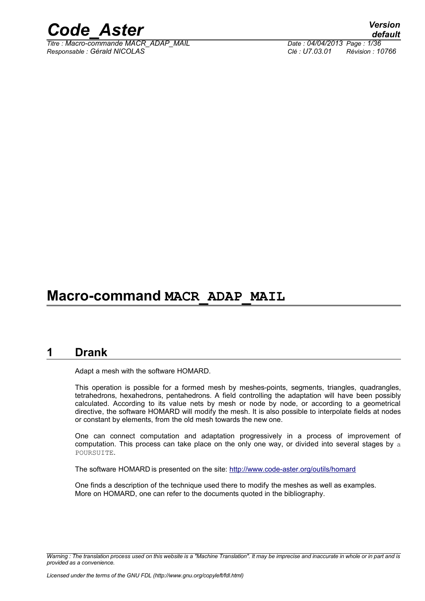

*Titre : Macro-commande MACR\_ADAP\_MAIL Date : 04/04/2013 Page : 1/36 Responsable : Gérald NICOLAS Clé : U7.03.01 Révision : 10766*

# **Macro-command MACR\_ADAP\_MAIL**

# **1 Drank**

<span id="page-0-0"></span>Adapt a mesh with the software HOMARD.

This operation is possible for a formed mesh by meshes-points, segments, triangles, quadrangles, tetrahedrons, hexahedrons, pentahedrons. A field controlling the adaptation will have been possibly calculated. According to its value nets by mesh or node by node, or according to a geometrical directive, the software HOMARD will modify the mesh. It is also possible to interpolate fields at nodes or constant by elements, from the old mesh towards the new one.

One can connect computation and adaptation progressively in a process of improvement of computation. This process can take place on the only one way, or divided into several stages by a POURSUITE.

The software HOMARD is presented on the site:<http://www.code-aster.org/outils/homard>

One finds a description of the technique used there to modify the meshes as well as examples. More on HOMARD, one can refer to the documents quoted in the bibliography.

*Warning : The translation process used on this website is a "Machine Translation". It may be imprecise and inaccurate in whole or in part and is provided as a convenience.*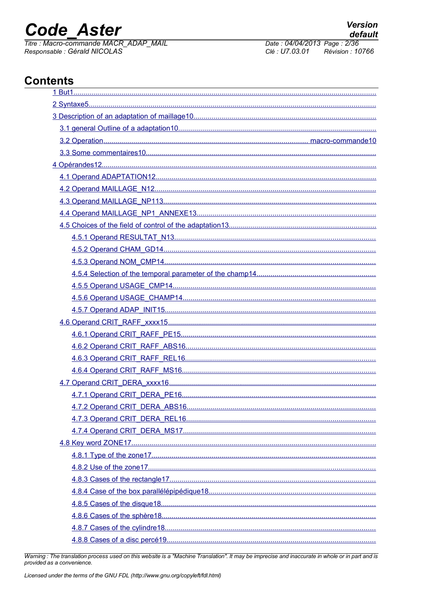# **Code Aster**

Titre : Macro-commande MACR ADAP MAIL Responsable : Gérald NICOLAS

Date: 04/04/2013 Page: 2/36 Clé : U7.03.01 Révision : 10766

# **Contents**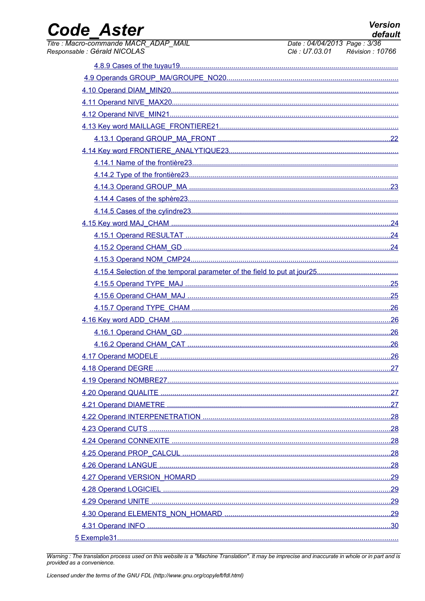# Code\_Aster

 $1015$ 

 $\overline{\cdots}$ 

| <i><b>ITTE: Macro-commange MACR ADAP MAIL</b></i><br>Responsable : Gérald NICOLAS | Date: 04/04/2013 Page: 3/30<br>Clé : U7.03.01 Révision : 10766 |
|-----------------------------------------------------------------------------------|----------------------------------------------------------------|
|                                                                                   |                                                                |
|                                                                                   |                                                                |
|                                                                                   |                                                                |
|                                                                                   |                                                                |
|                                                                                   |                                                                |
|                                                                                   |                                                                |
|                                                                                   |                                                                |
|                                                                                   |                                                                |
|                                                                                   |                                                                |
|                                                                                   |                                                                |
|                                                                                   |                                                                |
|                                                                                   |                                                                |
|                                                                                   |                                                                |
|                                                                                   |                                                                |
|                                                                                   |                                                                |
|                                                                                   |                                                                |
|                                                                                   |                                                                |
|                                                                                   |                                                                |
|                                                                                   |                                                                |
|                                                                                   |                                                                |
|                                                                                   |                                                                |
|                                                                                   |                                                                |
|                                                                                   |                                                                |
|                                                                                   |                                                                |
|                                                                                   |                                                                |
|                                                                                   |                                                                |
|                                                                                   |                                                                |
|                                                                                   |                                                                |
|                                                                                   |                                                                |
|                                                                                   |                                                                |
|                                                                                   |                                                                |
|                                                                                   |                                                                |
|                                                                                   |                                                                |
|                                                                                   |                                                                |
|                                                                                   |                                                                |
|                                                                                   |                                                                |
|                                                                                   |                                                                |
|                                                                                   |                                                                |
|                                                                                   |                                                                |
|                                                                                   |                                                                |

Warning: The translation process used on this website is a "Machine Translation". It may be imprecise and inaccurate in whole or in part and is<br>provided as a convenience.

 $0.10010$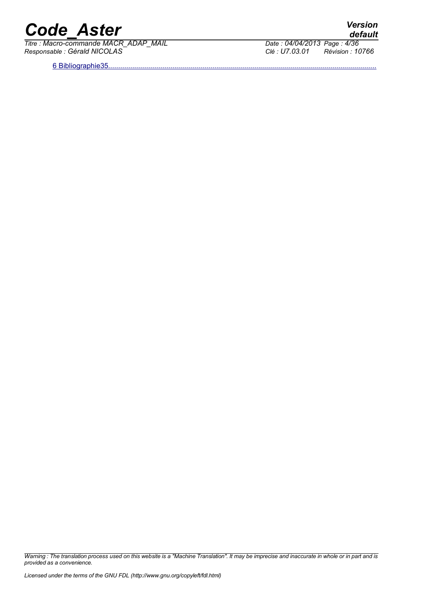*Titre : Macro-commande MACR\_ADAP\_MAIL Date : 04/04/2013 Page : 4/36 Responsable : Gérald NICOLAS Clé : U7.03.01 Révision : 10766*

6 Bibliographie35.

*default*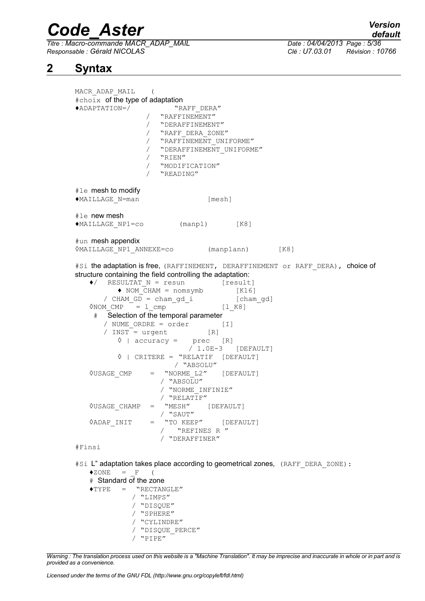*Titre : Macro-commande MACR\_ADAP\_MAIL Date : 04/04/2013 Page : 5/36 Responsable : Gérald NICOLAS Clé : U7.03.01 Révision : 10766*

# **2 Syntax**

<span id="page-4-0"></span>MACR\_ADAP\_MAIL ( #choix of the type of adaptation ♦ADAPTATION=/ "RAFF\_DERA" / "RAFFINEMENT" / "DERAFFINEMENT" / "RAFF\_DERA\_ZONE" / "RAFFINEMENT UNIFORME" / "DERAFFINEMENT UNIFORME" / "RIEN" / "MODIFICATION" / "READING" #le mesh to modify ♦MAILLAGE\_N=man [mesh] #le new mesh ♦MAILLAGE\_NP1=co (manp1) [K8] #un mesh appendix ◊MAILLAGE\_NP1\_ANNEXE=co (manp1ann) [K8] #Si the adaptation is free, (RAFFINEMENT, DERAFFINEMENT or RAFF DERA), choice of structure containing the field controlling the adaptation:  $\bullet$  RESULTAT N = resun [result]  $\triangleleft$  NOM CHAM = nomsymb  $[K16]$ / CHAM GD = cham gd i [cham gd]  $\sqrt{NOM}$  CMP  $= 1$  cmp  $-7$   $= 1$  [1 K8] # Selection of the temporal parameter / NUME\_ORDRE = order [I]<br>/ INST = urgent [R] / INST = urgent [R]<br>  $\sqrt[6]{}$  | accuracy = prec [R]  $\Diamond$  | accuracy =  $/ 1.0E-3$  [DEFAULT] ◊ | CRITERE = "RELATIF [DEFAULT] / "ABSOLU" ◊USAGE\_CMP = "NORME\_L2" [DEFAULT] / "ABSOLU" / "NORME\_INFINIE"  $/$  "RELATIF"<br>"MESH" ◊USAGE\_CHAMP = "MESH" [DEFAULT] / "SAUT" *NADAP* INIT = "TO KEEP" [DEFAULT] / "REFINES R " / "DERAFFINER" #Finsi #Si L" adaptation takes place according to geometrical zones, (RAFF\_DERA\_ZONE):  $\triangle$ ZONE = F ( # Standard of the zone  $\triangle$ TYPE = "RECTANGLE" / "LIMPS" / "DISQUE" / "SPHERE" / "CYLINDRE" / "DISQUE\_PERCE" / "PIPE"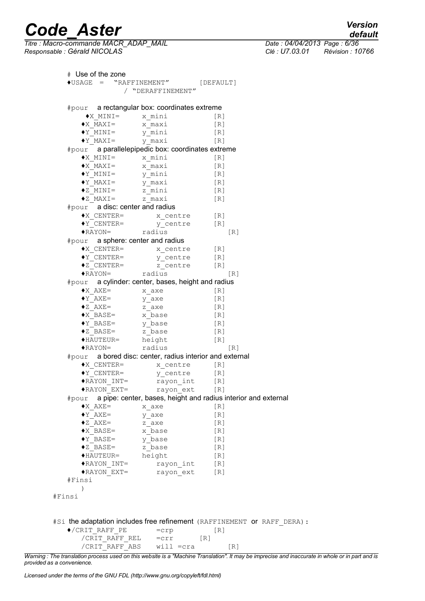$\overline{T}$ itre : Macro-commande MACR\_ADAP\_MAIL *Responsable : Gérald NICOLAS Clé : U7.03.01 Révision : 10766*

*default*

# Use of the zone ♦USAGE = "RAFFINEMENT" [DEFAULT] / "DERAFFINEMENT" #pour a rectangular box: coordinates extreme ♦X\_MINI= x\_mini [R]  $\bigstar$  MAXI=  $\overline{x}$  maxi [R] ♦Y\_MINI= y\_mini [R] ♦Y\_MAXI= y\_maxi [R]  $\begin{array}{ccc}\n\bullet \text{Y}^- \text{MAXI} = & \text{Y}^- \text{maxi} & [\text{R}] \\
\text{\#pour} & \text{a parallelepipedic box: coordinates extreme}\n\end{array}$ ♦X\_MINI= x\_mini [R] ♦X\_MAXI= x\_maxi [R] ♦Y\_MINI= y\_mini [R] ♦Y\_MAXI= y\_maxi [R] ♦Z\_MINI= z\_mini [R] ♦Z\_MAXI= z\_maxi [R]  $#$ pour  $\overline{a}$  a disc: center and radius ♦X\_CENTER= x\_centre [R] ♦Y\_CENTER= y\_centre [R] ♦RAYON= radius [R] #pour a sphere: center and radius ♦X\_CENTER= x\_centre [R] ♦Y\_CENTER= y\_centre [R]  $\begin{bmatrix} 2 & -2 & -1 \\ 2 & -1 & -1 \\ -2 & -1 & -1 \end{bmatrix}$  [R]  $\overline{P}$   $\overline{P}$   $\overline{P}$   $\overline{P}$   $\overline{P}$   $\overline{P}$   $\overline{P}$   $\overline{P}$   $\overline{P}$   $\overline{P}$   $\overline{P}$   $\overline{P}$   $\overline{P}$   $\overline{P}$   $\overline{P}$   $\overline{P}$   $\overline{P}$   $\overline{P}$   $\overline{P}$   $\overline{P}$   $\overline{P}$   $\overline{P}$   $\overline{P}$   $\overline{P}$   $\overline{$ #pour a cylinder: center, bases, height and radius  $\bullet$ X\_AXE=  $x$ \_axe [R]  $Y_AXE =$   $Y_Axe$  [R]  $\bullet$ Z AXE= z axe [R] ♦X\_BASE= x\_base [R] ♦Y\_BASE= y\_base [R]  $\bullet$ Z BASE= z base [R] ♦HAUTEUR= height [R] ♦RAYON= radius [R] #pour a bored disc: center, radius interior and external ♦X\_CENTER= x\_centre [R] ♦Y\_CENTER= y\_centre [R] ♦RAYON\_INT= rayon\_int [R] ♦RAYON\_EXT= rayon\_ext [R] #pour a pipe: center, bases, height and radius interior and external  $\bigstar_{\text{AXE}} = x_{\text{axe}}$  [R]  $Y_AXE =$   $Y_AxE =$  [R]  $\bullet$ Z AXE= z axe [R] ♦X\_BASE= x\_base [R] ♦Y\_BASE= y\_base [R] ◆Z BASE= z base [R] ◆HAUTEUR= height [R] ♦RAYON\_INT= rayon\_int [R] rayon ext [R] #Finsi ) #Finsi #Si the adaptation includes free refinement (RAFFINEMENT or RAFF DERA):  $\bullet$ /CRIT\_RAFF\_PE =crp [R] /CRIT\_RAFF\_REL =crr [R] /CRIT\_RAFF\_ABS will =cra [R]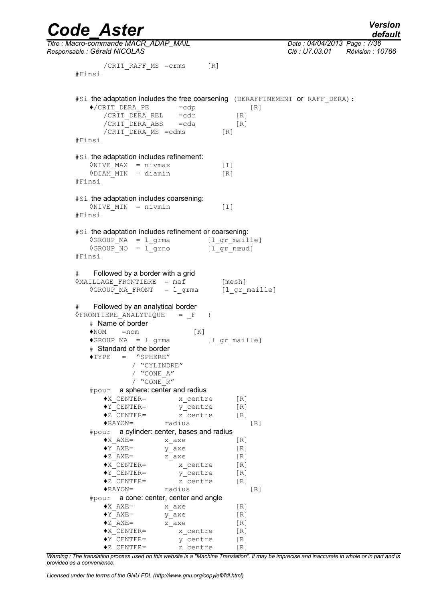*Code\_Aster Version Titre : Macro-commande MACR\_ADAP\_MAIL Date : 04/04/2013 Page : 7/36 Responsable : Gérald NICOLAS Clé : U7.03.01 Révision : 10766* /CRIT\_RAFF\_MS =crms [R] #Finsi #Si the adaptation includes the free coarsening (DERAFFINEMENT or RAFF DERA):  $\sqrt{CRIT}$  DERA PE =cdp [R]  $/CRT$  DERA REL =cdr [R] /CRIT\_DERA\_ABS =cda [R] /CRIT\_DERA\_MS =cdms [R] #Finsi #Si the adaptation includes refinement:  $\Diamond$ NIVE MAX = nivmax [I]  $\Diamond$ DIAM MIN = diamin [R] #Finsi #Si the adaptation includes coarsening:  $\Diamond$ NIVE MIN = nivmin [I] #Finsi #Si the adaptation includes refinement or coarsening: ◊GROUP\_MA = l\_grma [l\_gr\_maille]  $\sqrt{GROUP}$  NO =  $l$  grno [lgr\_nœud] #Finsi # Followed by a border with a grid  $\Diamond$ MAILLAGE FRONTIERE = maf [mesh] ◊GROUP\_MA\_FRONT = l\_grma [l\_gr\_maille] # Followed by an analytical border ◊FRONTIERE\_ANALYTIQUE = \_F ( # Name of border  $\bigcirc$ NOM =nom [K]  $\sqrt{G}$ ROUP MA = l grma [l gr maille] # Standard of the border  $\triangle$ TYPE = "SPHERE" / "CYLINDRE" / "CONE\_A" / "CONE\_R" #pour a sphere: center and radius ♦X\_CENTER= x\_centre [R] ♦Y\_CENTER= y\_centre [R] ♦Z\_CENTER= z\_centre [R] ♦RAYON= radius [R] #pour a cylinder: center, bases and radius  $\bigstar_{\text{AXE}} = x_{\text{axe}}$  [R]  $Y_AXE = \overline{y}_axe$  [R]  $\bullet$  z<sup> $^-$ </sup>AXE= z<sup> $^-$ </sup>axe [R]  $X_C$ ENTER=  $x_C$ entre [R] ♦Y\_CENTER= y\_centre [R] ♦Z\_CENTER= z\_centre [R] ♦RAYON= radius [R] #pour a cone: center, center and angle  $\bigstar$  AXE=  $\qquad \qquad$  x axe  $[R]$  $Y_AXE =$   $Y_AxE =$  [R]  $\bullet$ z<sup>-</sup>AXE=  $\bullet$  z axe [R]  $\bigstar$ <sup> $\overline{\phantom{a}}$ </sup>CENTER=  $\overline{\phantom{a}}$  x centre [R] ♦Y\_CENTER= y\_centre [R]  $+2$  CENTER=  $z$ -centre [R]

| <b>/ersion</b> |  |
|----------------|--|
| default        |  |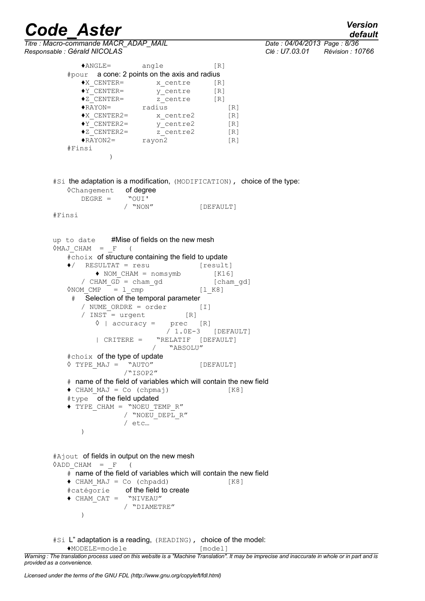*Titre : Macro-commande MACR\_ADAP\_MAIL Date : 04/04/2013 Page : 8/36 Responsable : Gérald NICOLAS Clé : U7.03.01 Révision : 10766*

*default*

♦ANGLE= angle [R] #pour a cone: 2 points on the axis and radius  $\begin{array}{lll} \text{\Large{*x\_centre}} & \text{\Large{*x\_centre}} & \text{\Large{[R]}} \\ \text{\Large{*y\_centre}} & \text{\Large{[R]}} \\ \text{\Large{*z\_DEF}} & \text{\Large{*z\_centre}} & \text{\Large{[R]}} \\ \end{array}$  $\begin{array}{ccc}\n\star \text{CENTER} = & & \text{C} \n\star \text{CENTER} = & & \text{z} \n\end{array}$ ♦Z\_CENTER= z\_centre [R] ♦RAYON= radius [R] ♦X\_CENTER2= x\_centre2 [R] ♦Y\_CENTER2= y\_centre2 [R]  $\begin{array}{lll} \bullet \verb|Y_CENTER2|& & & \dots \_ \_ \_ \_ \mathsf{CENTER2} = & & \text{y\_centre2} & & \text{[R]} \\ \bullet \verb|Z_CENTER2|& & & \text{z\_centre2} & & \text{[R]} \end{array}$  $\sqrt{RAYON2}$  rayon2 [R] #Finsi ) #Si the adaptation is a modification, (MODIFICATION), choice of the type: ©Changement **of degree**<br>DEGRE = "OUI'  $DEGRE =$ / "NON" [DEFAULT] #Finsi up to date #Mise of fields on the new mesh  $\Diamond$ MAJ\_CHAM =  $_F$  (  $\frac{1}{2}$   $\frac{1}{2}$  choix of structure containing the field to update  $\bullet$  / RESULTAT = resu [result] ♦ NOM\_CHAM = nomsymb [K16] / CHAM  $G\overline{D}$  = cham gd  $[char\;gd]$  $\Diamond NOM$  CMP = 1 cmp [1 K8] # Selection of the temporal parameter / NUME\_ORDRE = order [I]  $/$  INST = urgent ◊ | accuracy = prec [R] / 1.0E-3 [DEFAULT] | CRITERE = "RELATIF [DEFAULT] / "ABSOLU" #choix of the type of update ◊ TYPE\_MAJ = "AUTO" [DEFAULT] /"ISOP2" # name of the field of variables which will contain the new field  $\bullet$  CHAM MAJ = Co (chpmaj) [K8] #type of the field updated ♦ TYPE\_CHAM = "NOEU\_TEMP\_R" / "NOEU\_DEPL\_R" / etc… ) #Ajout of fields in output on the new mesh  $\Diamond$ ADD CHAM = F (

```
# name of the field of variables which will contain the new field
\bullet CHAM MAJ = Co (chpadd) [K8]
#catégorie of the field to create
♦ CHAM_CAT = "NIVEAU"
              / "DIAMETRE"
   )
```
#Si L" adaptation is a reading, (READING), choice of the model:

♦MODELE=modele [model]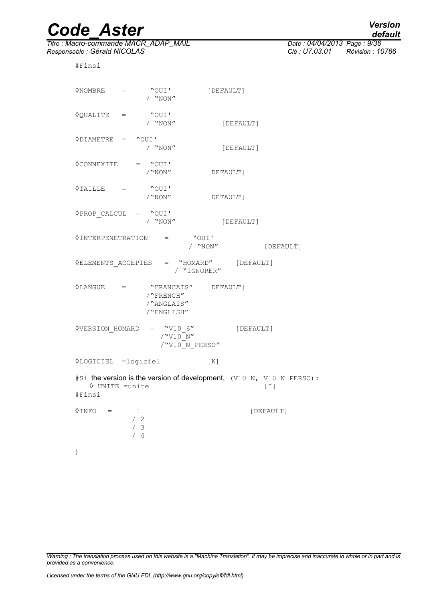*Titre : Macro-commande MACR\_ADAP\_MAIL Date : 04/04/2013 Page : 9/36 Responsable : Gérald NICOLAS Clé : U7.03.01 Révision : 10766*

#Finsi

| ◊NOMBRE                                                                                                                     | $=$ $\qquad$        | "OUI'<br>/ "NON"                      | [DEFAULT]            |           |                                                                             |
|-----------------------------------------------------------------------------------------------------------------------------|---------------------|---------------------------------------|----------------------|-----------|-----------------------------------------------------------------------------|
| $\Diamond$ QUALITE =                                                                                                        |                     | "OUI'<br>/ $"NON"$                    |                      | [DEFAULT] |                                                                             |
| $\Diamond$ DIAMETRE = "OUI'                                                                                                 |                     | / $"NON"$                             |                      | [DEFAULT] |                                                                             |
| $\Diamond$ CONNEXITE = "OUI'                                                                                                |                     | /"NON"                                | [DEFAULT]            |           |                                                                             |
| $\Diamond$ TAILLE =                                                                                                         |                     | "OUI'<br>/<br>"NON"                   | [DEFAULT]            |           |                                                                             |
| $\Diamond$ PROP_CALCUL = "OUI"                                                                                              |                     | / $"NON"$                             |                      | [DEFAULT] |                                                                             |
| $\Diamond$ INTERPENETRATION = "OUI'                                                                                         |                     |                                       | / "NON"              |           | [DEFAULT]                                                                   |
| $\Diamond \texttt{ELEMENTS}\_ \texttt{ACCEPTES} \quad = \quad \texttt{``HOMARD''} \qquad \texttt{[DEFAULT]}$<br>/ "IGNORER" |                     |                                       |                      |           |                                                                             |
| $\Diamond$ LANGUE =                                                                                                         |                     | /"FRENCH"<br>/"ANGLAIS"<br>/"ENGLISH" | "FRANCAIS" [DEFAULT] |           |                                                                             |
| $\Diamond$ VERSION_HOMARD = "V10 6"                                                                                         |                     | /"V10 N"                              | /"V10 N PERSO"       | [DEFAULT] |                                                                             |
| <b><i><u>OLOGICIEL</u></i></b> =logiciel                                                                                    |                     |                                       | [K]                  |           |                                                                             |
| $\Diamond$ UNITE = unite<br>#Finsi                                                                                          |                     |                                       |                      |           | #Si the version is the version of development, (V10_N, V10_N_PERSO):<br>[I] |
| 0INFO                                                                                                                       | 1<br>/2<br>/3<br>/4 |                                       |                      |           | [DEFAULT]                                                                   |
| $\mathcal{C}$                                                                                                               |                     |                                       |                      |           |                                                                             |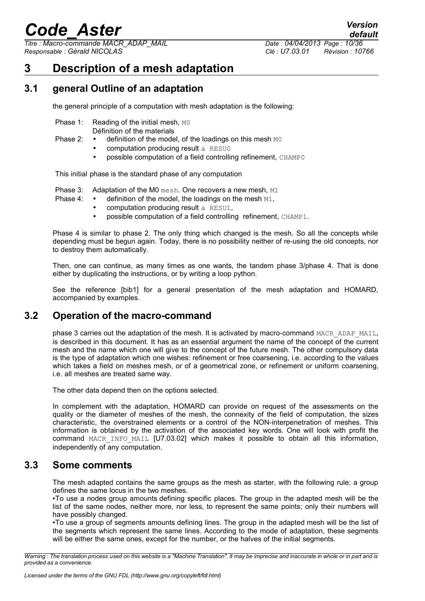*Titre : Macro-commande MACR\_ADAP\_MAIL Date : 04/04/2013 Page : 10/36 Responsable : Gérald NICOLAS Clé : U7.03.01 Révision : 10766*

*default*

# <span id="page-9-3"></span>**3 Description of a mesh adaptation**

# **3.1 general Outline of an adaptation**

<span id="page-9-2"></span>the general principle of a computation with mesh adaptation is the following:

- Phase 1: Reading of the initial mesh, MO
	- Définition of the materials
- Phase 2: definition of the model, of the loadings on this mesh MO
	- computation producing result a RESU0
	- possible computation of a field controlling refinement, CHAMP0

This initial phase is the standard phase of any computation

Phase 3: Adaptation of the M0 mesh. One recovers a new mesh, M1

- Phase 4: definition of the model, the loadings on the mesh M1,
	- computation producing result a RESU1,
	- possible computation of a field controlling refinement, CHAMP1.

Phase 4 is similar to phase 2. The only thing which changed is the mesh. So all the concepts while depending must be begun again. Today, there is no possibility neither of re-using the old concepts, nor to destroy them automatically.

Then, one can continue, as many times as one wants, the tandem phase 3/phase 4. That is done either by duplicating the instructions, or by writing a loop python.

See the reference [bib1] for a general presentation of the mesh adaptation and HOMARD, accompanied by examples.

# **3.2 Operation of the macro-command**

<span id="page-9-1"></span>phase 3 carries out the adaptation of the mesh. It is activated by macro-command MACR\_ADAP\_MAIL, is described in this document. It has as an essential argument the name of the concept of the current mesh and the name which one will give to the concept of the future mesh. The other compulsory data is the type of adaptation which one wishes: refinement or free coarsening, i.e. according to the values which takes a field on meshes mesh, or of a geometrical zone, or refinement or uniform coarsening, i.e. all meshes are treated same way.

The other data depend then on the options selected.

In complement with the adaptation, HOMARD can provide on request of the assessments on the quality or the diameter of meshes of the mesh, the connexity of the field of computation, the sizes characteristic, the overstrained elements or a control of the NON-interpenetration of meshes. This information is obtained by the activation of the associated key words. One will look with profit the command MACR\_INFO\_MAIL [U7.03.02] which makes it possible to obtain all this information, independently of any computation.

# **3.3 Some comments**

<span id="page-9-0"></span>The mesh adapted contains the same groups as the mesh as starter, with the following rule: a group defines the same locus in the two meshes.

•To use a nodes group amounts defining specific places. The group in the adapted mesh will be the list of the same nodes, neither more, nor less, to represent the same points; only their numbers will have possibly changed.

•To use a group of segments amounts defining lines. The group in the adapted mesh will be the list of the segments which represent the same lines. According to the mode of adaptation, these segments will be either the same ones, except for the number, or the halves of the initial segments.

*Warning : The translation process used on this website is a "Machine Translation". It may be imprecise and inaccurate in whole or in part and is provided as a convenience.*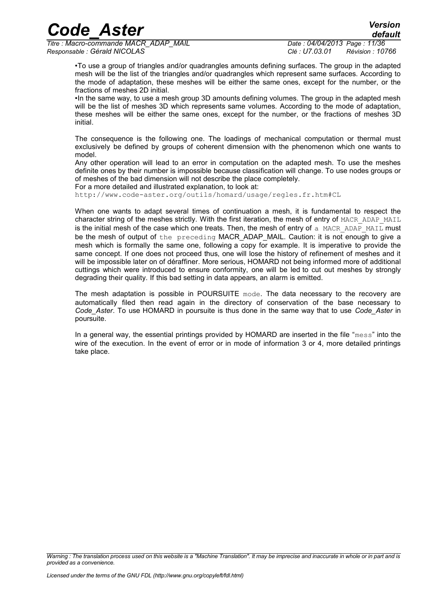*Titre : Macro-commande MACR\_ADAP\_MAIL Date : 04/04/2013 Page : 11/36 Responsable : Gérald NICOLAS Clé : U7.03.01 Révision : 10766*

*default*

•To use a group of triangles and/or quadrangles amounts defining surfaces. The group in the adapted mesh will be the list of the triangles and/or quadrangles which represent same surfaces. According to the mode of adaptation, these meshes will be either the same ones, except for the number, or the fractions of meshes 2D initial.

•In the same way, to use a mesh group 3D amounts defining volumes. The group in the adapted mesh will be the list of meshes 3D which represents same volumes. According to the mode of adaptation, these meshes will be either the same ones, except for the number, or the fractions of meshes 3D initial.

The consequence is the following one. The loadings of mechanical computation or thermal must exclusively be defined by groups of coherent dimension with the phenomenon which one wants to model.

Any other operation will lead to an error in computation on the adapted mesh. To use the meshes definite ones by their number is impossible because classification will change. To use nodes groups or of meshes of the bad dimension will not describe the place completely.

For a more detailed and illustrated explanation, to look at:

http://www.code-aster.org/outils/homard/usage/regles.fr.htm#CL

When one wants to adapt several times of continuation a mesh, it is fundamental to respect the character string of the meshes strictly. With the first iteration, the mesh of entry of MACR\_ADAP\_MAIL is the initial mesh of the case which one treats. Then, the mesh of entry of a MACR ADAP MAIL must be the mesh of output of the preceding MACR\_ADAP\_MAIL. Caution: it is not enough to give a mesh which is formally the same one, following a copy for example. It is imperative to provide the same concept. If one does not proceed thus, one will lose the history of refinement of meshes and it will be impossible later on of déraffiner. More serious, HOMARD not being informed more of additional cuttings which were introduced to ensure conformity, one will be led to cut out meshes by strongly degrading their quality. If this bad setting in data appears, an alarm is emitted.

The mesh adaptation is possible in POURSUITE mode. The data necessary to the recovery are automatically filed then read again in the directory of conservation of the base necessary to *Code\_Aster*. To use HOMARD in poursuite is thus done in the same way that to use *Code\_Aster* in poursuite.

In a general way, the essential printings provided by HOMARD are inserted in the file "mess" into the wire of the execution. In the event of error or in mode of information 3 or 4, more detailed printings take place.

*Warning : The translation process used on this website is a "Machine Translation". It may be imprecise and inaccurate in whole or in part and is provided as a convenience.*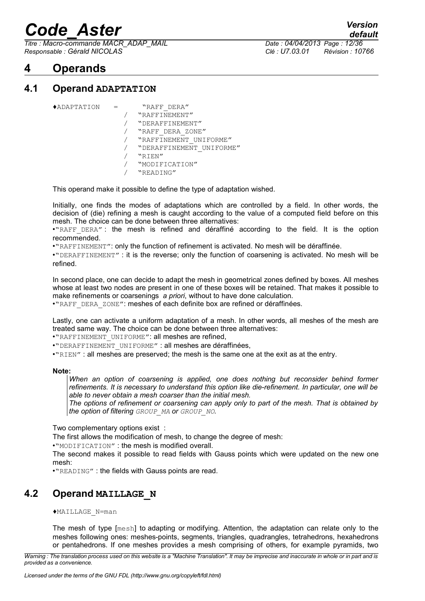*Titre : Macro-commande MACR\_ADAP\_MAIL Date : 04/04/2013 Page : 12/36 Responsable : Gérald NICOLAS Clé : U7.03.01 Révision : 10766*

*default*

# <span id="page-11-2"></span>**4 Operands**

# **4.1 Operand ADAPTATION**

<span id="page-11-1"></span>

| $\blacklozenge$ ADAPTATION |  | "RAFF DERA"              |
|----------------------------|--|--------------------------|
|                            |  | "RAFFINEMENT"            |
|                            |  | "DERAFFINEMENT"          |
|                            |  | "RAFF DERA ZONE"         |
|                            |  | "RAFFINEMENT UNIFORME"   |
|                            |  | "DERAFFINEMENT UNIFORME" |
|                            |  | "RIEN"                   |
|                            |  | "MODIFICATION"           |
|                            |  | "READING"                |

This operand make it possible to define the type of adaptation wished.

Initially, one finds the modes of adaptations which are controlled by a field. In other words, the decision of (die) refining a mesh is caught according to the value of a computed field before on this mesh. The choice can be done between three alternatives:

•"RAFF DERA": the mesh is refined and déraffiné according to the field. It is the option recommended.

•"RAFFINEMENT": only the function of refinement is activated. No mesh will be déraffinée.

•"DERAFFINEMENT" : it is the reverse; only the function of coarsening is activated. No mesh will be refined.

In second place, one can decide to adapt the mesh in geometrical zones defined by boxes. All meshes whose at least two nodes are present in one of these boxes will be retained. That makes it possible to make refinements or coarsenings *a priori*, without to have done calculation.

•"RAFF\_DERA\_ZONE": meshes of each definite box are refined or déraffinées.

Lastly, one can activate a uniform adaptation of a mesh. In other words, all meshes of the mesh are treated same way. The choice can be done between three alternatives:

•"RAFFINEMENT\_UNIFORME": all meshes are refined,

•"DERAFFINEMENT\_UNIFORME" : all meshes are déraffinées,

•"RIEN" : all meshes are preserved; the mesh is the same one at the exit as at the entry.

#### **Note:**

*When an option of coarsening is applied, one does nothing but reconsider behind former refinements. It is necessary to understand this option like die-refinement. In particular, one will be able to never obtain a mesh coarser than the initial mesh.*

*The options of refinement or coarsening can apply only to part of the mesh. That is obtained by the option of filtering GROUP\_MA or GROUP\_NO.*

Two complementary options exist :

The first allows the modification of mesh, to change the degree of mesh:

•"MODIFICATION" : the mesh is modified overall.

The second makes it possible to read fields with Gauss points which were updated on the new one mesh:

•"READING" : the fields with Gauss points are read.

# **4.2 Operand MAILLAGE\_N**

<span id="page-11-0"></span>♦MAILLAGE\_N=man

The mesh of type [mesh] to adapting or modifying. Attention, the adaptation can relate only to the meshes following ones: meshes-points, segments, triangles, quadrangles, tetrahedrons, hexahedrons or pentahedrons. If one meshes provides a mesh comprising of others, for example pyramids, two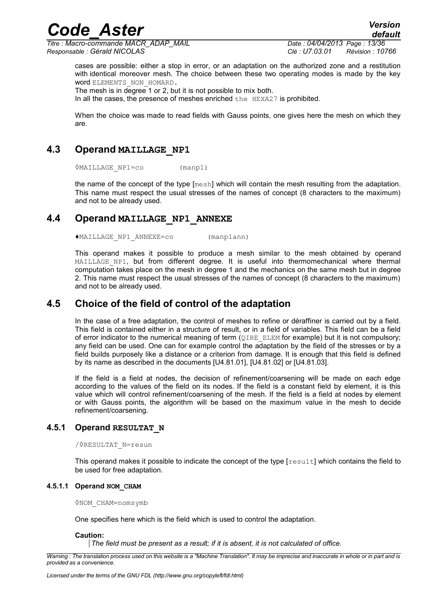*Code\_Aster Version Titre : Macro-commande MACR\_ADAP\_MAIL Date : 04/04/2013 Page : 13/36 Responsable : Gérald NICOLAS Clé : U7.03.01 Révision : 10766*

*default*

cases are possible: either a stop in error, or an adaptation on the authorized zone and a restitution with identical moreover mesh. The choice between these two operating modes is made by the key word ELEMENTS\_NON\_HOMARD.

The mesh is in degree 1 or 2, but it is not possible to mix both.

In all the cases, the presence of meshes enriched the HEXA27 is prohibited.

When the choice was made to read fields with Gauss points, one gives here the mesh on which they are.

# **4.3 Operand MAILLAGE\_NP1**

<span id="page-12-3"></span>◊MAILLAGE\_NP1=co (manp1)

the name of the concept of the type [mesh] which will contain the mesh resulting from the adaptation. This name must respect the usual stresses of the names of concept (8 characters to the maximum) and not to be already used.

# **4.4 Operand MAILLAGE\_NP1\_ANNEXE**

<span id="page-12-2"></span>♦MAILLAGE\_NP1\_ANNEXE=co (manp1ann)

This operand makes it possible to produce a mesh similar to the mesh obtained by operand MAILLAGE NP1, but from different degree. It is useful into thermomechanical where thermal computation takes place on the mesh in degree 1 and the mechanics on the same mesh but in degree 2. This name must respect the usual stresses of the names of concept (8 characters to the maximum) and not to be already used.

# **4.5 Choice of the field of control of the adaptation**

<span id="page-12-1"></span>In the case of a free adaptation, the control of meshes to refine or déraffiner is carried out by a field. This field is contained either in a structure of result, or in a field of variables. This field can be a field of error indicator to the numerical meaning of term  $(QIRE$  ELEM for example) but it is not compulsory; any field can be used. One can for example control the adaptation by the field of the stresses or by a field builds purposely like a distance or a criterion from damage. It is enough that this field is defined by its name as described in the documents [U4.81.01], [U4.81.02] or [U4.81.03].

If the field is a field at nodes, the decision of refinement/coarsening will be made on each edge according to the values of the field on its nodes. If the field is a constant field by element, it is this value which will control refinement/coarsening of the mesh. If the field is a field at nodes by element or with Gauss points, the algorithm will be based on the maximum value in the mesh to decide refinement/coarsening.

### **4.5.1 Operand RESULTAT\_N**

#### <span id="page-12-0"></span>/◊RESULTAT\_N=resun

This operand makes it possible to indicate the concept of the type [result] which contains the field to be used for free adaptation.

#### **4.5.1.1 Operand NOM\_CHAM**

◊NOM\_CHAM=nomsymb

One specifies here which is the field which is used to control the adaptation.

#### **Caution:**

*The field must be present as a result; if it is absent, it is not calculated of office.*

*Warning : The translation process used on this website is a "Machine Translation". It may be imprecise and inaccurate in whole or in part and is provided as a convenience.*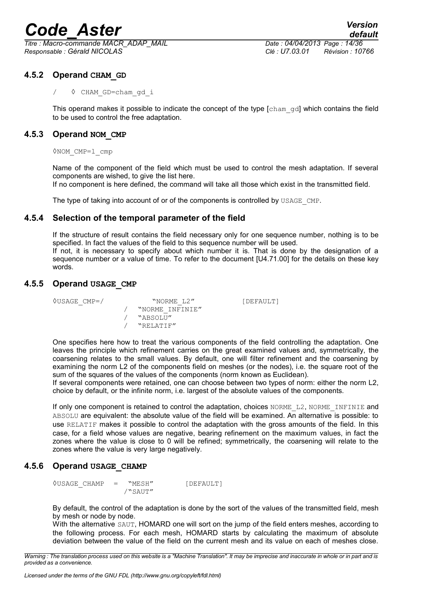*Titre : Macro-commande MACR\_ADAP\_MAIL Date : 04/04/2013 Page : 14/36 Responsable : Gérald NICOLAS Clé : U7.03.01 Révision : 10766*

# **4.5.2 Operand CHAM\_GD**

<span id="page-13-4"></span>/ ◊ CHAM\_GD=cham\_gd\_i

This operand makes it possible to indicate the concept of the type  $[\text{cham gd}]$  which contains the field to be used to control the free adaptation.

# **4.5.3 Operand NOM\_CMP**

<span id="page-13-3"></span>◊NOM\_CMP=l\_cmp

Name of the component of the field which must be used to control the mesh adaptation. If several components are wished, to give the list here.

If no component is here defined, the command will take all those which exist in the transmitted field.

<span id="page-13-2"></span>The type of taking into account of or of the components is controlled by USAGE CMP.

# **4.5.4 Selection of the temporal parameter of the field**

If the structure of result contains the field necessary only for one sequence number, nothing is to be specified. In fact the values of the field to this sequence number will be used. If not, it is necessary to specify about which number it is. That is done by the designation of a sequence number or a value of time. To refer to the document [U4.71.00] for the details on these key words.

# **4.5.5 Operand USAGE\_CMP**

<span id="page-13-1"></span>

| $VSSAGE$ CMP=/ | "NORME L2"      | [DEFAULT] |
|----------------|-----------------|-----------|
|                | "NORME INFINIE" |           |
|                | "ABSOLU"        |           |
|                | "RELATIF"       |           |

One specifies here how to treat the various components of the field controlling the adaptation. One leaves the principle which refinement carries on the great examined values and, symmetrically, the coarsening relates to the small values. By default, one will filter refinement and the coarsening by examining the norm L2 of the components field on meshes (or the nodes), i.e. the square root of the sum of the squares of the values of the components (norm known as Euclidean).

If several components were retained, one can choose between two types of norm: either the norm L2, choice by default, or the infinite norm, i.e. largest of the absolute values of the components.

If only one component is retained to control the adaptation, choices NORME L2, NORME INFINIE and ABSOLU are equivalent: the absolute value of the field will be examined. An alternative is possible: to use RELATIF makes it possible to control the adaptation with the gross amounts of the field. In this case, for a field whose values are negative, bearing refinement on the maximum values, in fact the zones where the value is close to 0 will be refined; symmetrically, the coarsening will relate to the zones where the value is very large negatively.

# **4.5.6 Operand USAGE\_CHAMP**

<span id="page-13-0"></span>◊USAGE\_CHAMP = "MESH" [DEFAULT] /"SAUT"

By default, the control of the adaptation is done by the sort of the values of the transmitted field, mesh by mesh or node by node.

With the alternative SAUT, HOMARD one will sort on the jump of the field enters meshes, according to the following process. For each mesh, HOMARD starts by calculating the maximum of absolute deviation between the value of the field on the current mesh and its value on each of meshes close.

*Warning : The translation process used on this website is a "Machine Translation". It may be imprecise and inaccurate in whole or in part and is provided as a convenience.*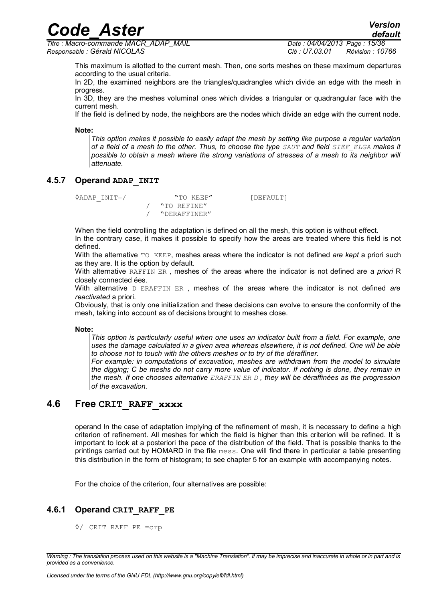*Titre : Macro-commande MACR\_ADAP\_MAIL Date : 04/04/2013 Page : 15/36 Responsable : Gérald NICOLAS Clé : U7.03.01 Révision : 10766*

This maximum is allotted to the current mesh. Then, one sorts meshes on these maximum departures according to the usual criteria.

In 2D, the examined neighbors are the triangles/quadrangles which divide an edge with the mesh in progress.

In 3D, they are the meshes voluminal ones which divides a triangular or quadrangular face with the current mesh.

If the field is defined by node, the neighbors are the nodes which divide an edge with the current node.

**Note:**

*This option makes it possible to easily adapt the mesh by setting like purpose a regular variation of a field of a mesh to the other. Thus, to choose the type SAUT and field SIEF\_ELGA makes it possible to obtain a mesh where the strong variations of stresses of a mesh to its neighbor will attenuate.*

# **4.5.7 Operand ADAP\_INIT**

<span id="page-14-2"></span><sup>O</sup>ADAP\_INIT=/ "TO KEEP" [DEFAULT] / "TO REFINE" / "DERAFFINER"

When the field controlling the adaptation is defined on all the mesh, this option is without effect.

In the contrary case, it makes it possible to specify how the areas are treated where this field is not defined.

With the alternative TO KEEP, meshes areas where the indicator is not defined *are kept* a priori such as they are. It is the option by default.

With alternative RAFFIN ER , meshes of the areas where the indicator is not defined are *a priori* R closely connected ées.

With alternative D ERAFFIN ER , meshes of the areas where the indicator is not defined *are reactivated* a priori.

Obviously, that is only one initialization and these decisions can evolve to ensure the conformity of the mesh, taking into account as of decisions brought to meshes close.

**Note:**

*This option is particularly useful when one uses an indicator built from a field. For example, one uses the damage calculated in a given area whereas elsewhere, it is not defined. One will be able to choose not to touch with the others meshes or to try of the déraffiner.*

*For example: in computations of excavation, meshes are withdrawn from the model to simulate the digging; C be meshs do not carry more value of indicator. If nothing is done, they remain in the mesh. If one chooses alternative ERAFFIN ER D , they will be déraffinées as the progression of the excavation.* 

# **4.6 Free CRIT\_RAFF\_xxxx**

<span id="page-14-1"></span>operand In the case of adaptation implying of the refinement of mesh, it is necessary to define a high criterion of refinement. All meshes for which the field is higher than this criterion will be refined. It is important to look at a posteriori the pace of the distribution of the field. That is possible thanks to the printings carried out by HOMARD in the file mess. One will find there in particular a table presenting this distribution in the form of histogram; to see chapter [5](#page-31-0) for an example with accompanying notes.

For the choice of the criterion, four alternatives are possible:

# **4.6.1 Operand CRIT\_RAFF\_PE**

<span id="page-14-0"></span>◊/ CRIT\_RAFF\_PE =crp

*Warning : The translation process used on this website is a "Machine Translation". It may be imprecise and inaccurate in whole or in part and is provided as a convenience.*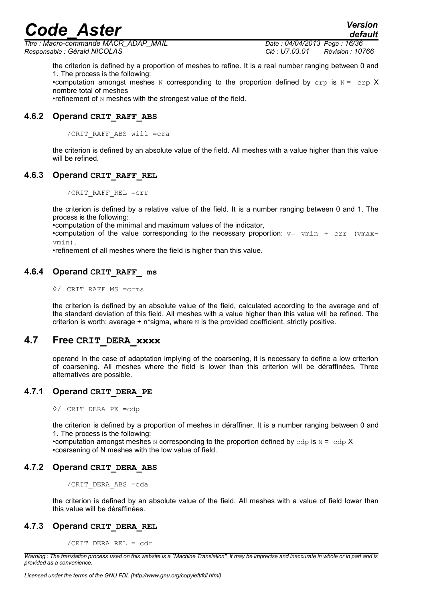*Titre : Macro-commande MACR\_ADAP\_MAIL Date : 04/04/2013 Page : 16/36 Responsable : Gérald NICOLAS Clé : U7.03.01 Révision : 10766*

*default*

the criterion is defined by a proportion of meshes to refine. It is a real number ranging between 0 and 1. The process is the following: •computation amongst meshes N corresponding to the proportion defined by  $\text{crp}$  is N =  $\text{crp}$  X nombre total of meshes •refinement of N meshes with the strongest value of the field.

# **4.6.2 Operand CRIT\_RAFF\_ABS**

<span id="page-15-6"></span>/CRIT\_RAFF\_ABS will =cra

the criterion is defined by an absolute value of the field. All meshes with a value higher than this value will be refined.

## **4.6.3 Operand CRIT\_RAFF\_REL**

<span id="page-15-5"></span>/CRIT\_RAFF\_REL =crr

the criterion is defined by a relative value of the field. It is a number ranging between 0 and 1. The process is the following:

•computation of the minimal and maximum values of the indicator,

•computation of the value corresponding to the necessary proportion:  $v=$  vmin + crr (vmaxvmin),

•refinement of all meshes where the field is higher than this value.

# **4.6.4 Operand CRIT\_RAFF\_ ms**

#### <span id="page-15-4"></span>◊/ CRIT\_RAFF\_MS =crms

the criterion is defined by an absolute value of the field, calculated according to the average and of the standard deviation of this field. All meshes with a value higher than this value will be refined. The criterion is worth: average  $+$  n\*sigma, where  $N$  is the provided coefficient, strictly positive.

# **4.7 Free CRIT\_DERA\_xxxx**

<span id="page-15-3"></span>operand In the case of adaptation implying of the coarsening, it is necessary to define a low criterion of coarsening. All meshes where the field is lower than this criterion will be déraffinées. Three alternatives are possible.

# **4.7.1 Operand CRIT\_DERA\_PE**

<span id="page-15-2"></span>◊/ CRIT\_DERA\_PE =cdp

the criterion is defined by a proportion of meshes in déraffiner. It is a number ranging between 0 and 1. The process is the following:

•computation amongst meshes N corresponding to the proportion defined by  $\text{cdp}$  is N =  $\text{cdp} X$ •coarsening of N meshes with the low value of field.

# **4.7.2 Operand CRIT\_DERA\_ABS**

<span id="page-15-1"></span>/CRIT\_DERA\_ABS =cda

the criterion is defined by an absolute value of the field. All meshes with a value of field lower than this value will be déraffinées.

# **4.7.3 Operand CRIT\_DERA\_REL**

<span id="page-15-0"></span>/CRIT\_DERA\_REL = cdr

*Warning : The translation process used on this website is a "Machine Translation". It may be imprecise and inaccurate in whole or in part and is provided as a convenience.*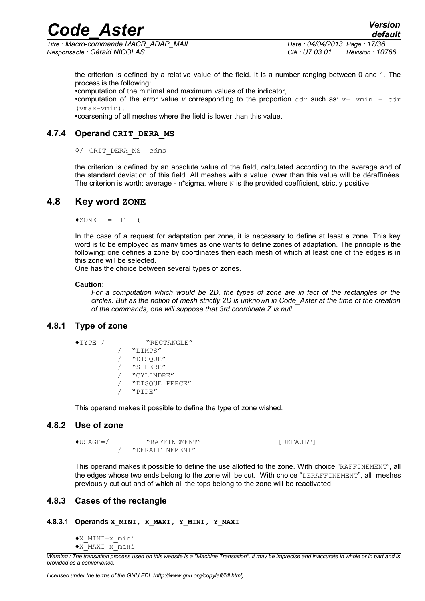*Titre : Macro-commande MACR\_ADAP\_MAIL Date : 04/04/2013 Page : 17/36 Responsable : Gérald NICOLAS Clé : U7.03.01 Révision : 10766*

the criterion is defined by a relative value of the field. It is a number ranging between 0 and 1. The process is the following:

•computation of the minimal and maximum values of the indicator,

•computation of the error value *v* corresponding to the proportion  $cdr$  such as:  $v = vmin + cdr$  $(vmax-vmin)$ 

<span id="page-16-4"></span>•coarsening of all meshes where the field is lower than this value.

# **4.7.4 Operand CRIT\_DERA\_MS**

#### ◊/ CRIT\_DERA\_MS =cdms

the criterion is defined by an absolute value of the field, calculated according to the average and of the standard deviation of this field. All meshes with a value lower than this value will be déraffinées. The criterion is worth: average -  $n$ \*sigma, where  $N$  is the provided coefficient, strictly positive.

# **4.8 Key word ZONE**

<span id="page-16-3"></span> $\triangle$ ZONE = F (

In the case of a request for adaptation per zone, it is necessary to define at least a zone. This key word is to be employed as many times as one wants to define zones of adaptation. The principle is the following: one defines a zone by coordinates then each mesh of which at least one of the edges is in this zone will be selected.

One has the choice between several types of zones.

#### **Caution:**

*For a computation which would be 2D, the types of zone are in fact of the rectangles or the circles. But as the notion of mesh strictly 2D is unknown in Code\_Aster at the time of the creation of the commands, one will suppose that 3rd coordinate Z is null.*

## **4.8.1 Type of zone**

```
♦TYPE=/ "RECTANGLE"
```

```
/ "LIMPS"
/ "DISQUE"
   / "SPHERE"
   / "CYLINDRE"
   / "DISQUE_PERCE"
   / "PIPE"
```
<span id="page-16-1"></span>This operand makes it possible to define the type of zone wished.

### **4.8.2 Use of zone**

```
♦USAGE=/ "RAFFINEMENT" [DEFAULT]
      / "DERAFFINEMENT"
```
This operand makes it possible to define the use allotted to the zone. With choice "RAFFINEMENT", all the edges whose two ends belong to the zone will be cut. With choice "DERAFFINEMENT", all meshes previously cut out and of which all the tops belong to the zone will be reactivated.

# <span id="page-16-0"></span>**4.8.3 Cases of the rectangle**

### **4.8.3.1 Operands X\_MINI, X\_MAXI, Y\_MINI, Y\_MAXI**

- ♦X\_MINI=x\_mini
- ♦X\_MAXI=x\_maxi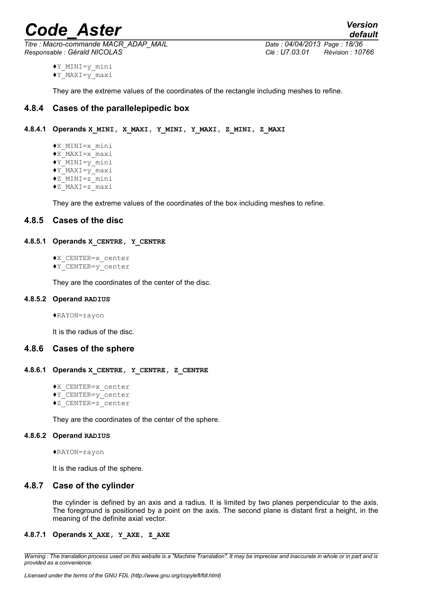*Titre : Macro-commande MACR\_ADAP\_MAIL Date : 04/04/2013 Page : 18/36 Responsable : Gérald NICOLAS Clé : U7.03.01 Révision : 10766*

*default*

♦Y\_MINI=y\_mini  $\sqrt{Y}$ MAXI=y maxi

<span id="page-17-3"></span>They are the extreme values of the coordinates of the rectangle including meshes to refine.

# **4.8.4 Cases of the parallelepipedic box**

# **4.8.4.1 Operands X\_MINI, X\_MAXI, Y\_MINI, Y\_MAXI, Z\_MINI, Z\_MAXI**

♦X\_MINI=x\_mini ♦X\_MAXI=x\_maxi  $\sqrt{Y}$ MINI=y mini ♦Y\_MAXI=y\_maxi ♦Z\_MINI=z\_mini ♦Z\_MAXI=z\_maxi

<span id="page-17-2"></span>They are the extreme values of the coordinates of the box including meshes to refine.

# **4.8.5 Cases of the disc**

### **4.8.5.1 Operands X\_CENTRE, Y\_CENTRE**

♦X\_CENTER=x\_center

♦Y\_CENTER=y\_center

They are the coordinates of the center of the disc.

#### **4.8.5.2 Operand RADIUS**

♦RAYON=rayon

<span id="page-17-1"></span>It is the radius of the disc.

### **4.8.6 Cases of the sphere**

#### **4.8.6.1 Operands X\_CENTRE, Y\_CENTRE, Z\_CENTRE**

- ♦X\_CENTER=x\_center
- ♦Y\_CENTER=y\_center
- ♦Z\_CENTER=z\_center

They are the coordinates of the center of the sphere.

# **4.8.6.2 Operand RADIUS**

♦RAYON=rayon

<span id="page-17-0"></span>It is the radius of the sphere.

### **4.8.7 Case of the cylinder**

the cylinder is defined by an axis and a radius. It is limited by two planes perpendicular to the axis. The foreground is positioned by a point on the axis. The second plane is distant first a height, in the meaning of the definite axial vector.

## **4.8.7.1 Operands X\_AXE, Y\_AXE, Z\_AXE**

*Warning : The translation process used on this website is a "Machine Translation". It may be imprecise and inaccurate in whole or in part and is provided as a convenience.*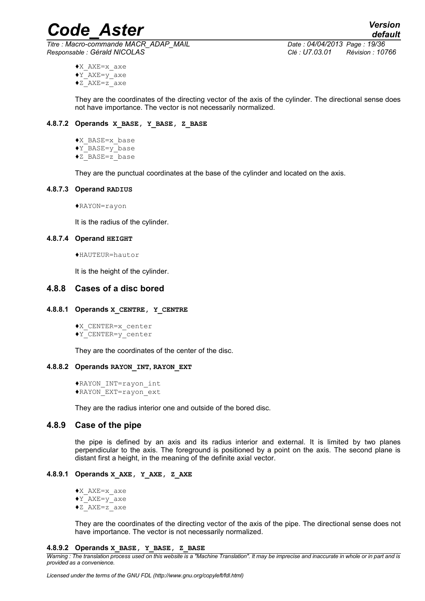*Code\_Aster Version Titre : Macro-commande MACR\_ADAP\_MAIL Date : 04/04/2013 Page : 19/36*

*Responsable : Gérald NICOLAS Clé : U7.03.01 Révision : 10766*

- ♦X\_AXE=x\_axe
- $\sqrt{Y}$  AXE=y axe
- $\bullet$ z $A$ XE=z $\overline{a}$  axe

They are the coordinates of the directing vector of the axis of the cylinder. The directional sense does not have importance. The vector is not necessarily normalized.

### **4.8.7.2 Operands X\_BASE, Y\_BASE, Z\_BASE**

- ♦X\_BASE=x\_base
- $\sqrt{Y}$ BASE=y\_base
- ♦Z\_BASE=z\_base

They are the punctual coordinates at the base of the cylinder and located on the axis.

## **4.8.7.3 Operand RADIUS**

♦RAYON=rayon

It is the radius of the cylinder.

### **4.8.7.4 Operand HEIGHT**

♦HAUTEUR=hautor

<span id="page-18-0"></span>It is the height of the cylinder.

# **4.8.8 Cases of a disc bored**

### **4.8.8.1 Operands X\_CENTRE, Y\_CENTRE**

♦X\_CENTER=x\_center ♦Y\_CENTER=y\_center

They are the coordinates of the center of the disc.

### **4.8.8.2 Operands RAYON\_INT, RAYON\_EXT**

♦RAYON\_INT=rayon\_int ♦RAYON\_EXT=rayon\_ext

<span id="page-18-1"></span>They are the radius interior one and outside of the bored disc.

# **4.8.9 Case of the pipe**

the pipe is defined by an axis and its radius interior and external. It is limited by two planes perpendicular to the axis. The foreground is positioned by a point on the axis. The second plane is distant first a height, in the meaning of the definite axial vector.

### **4.8.9.1 Operands X\_AXE, Y\_AXE, Z\_AXE**

- ♦X\_AXE=x\_axe
- ♦Y\_AXE=y\_axe
- ♦Z\_AXE=z\_axe

They are the coordinates of the directing vector of the axis of the pipe. The directional sense does not have importance. The vector is not necessarily normalized.

#### **4.8.9.2 Operands X\_BASE, Y\_BASE, Z\_BASE**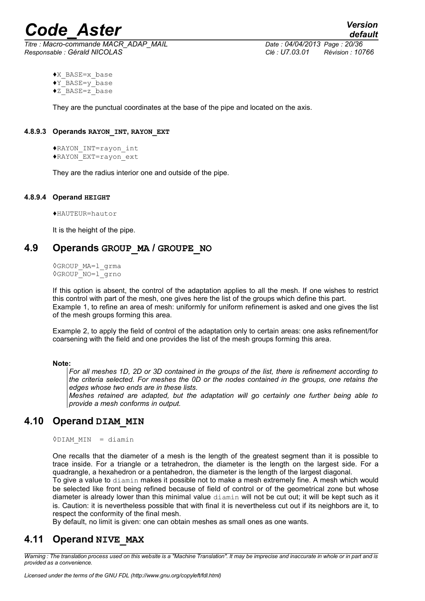*Titre : Macro-commande MACR\_ADAP\_MAIL Date : 04/04/2013 Page : 20/36 Responsable : Gérald NICOLAS Clé : U7.03.01 Révision : 10766*

*default*

- ♦X\_BASE=x\_base  $\sqrt{Y}$ BASE=y base
- $\overline{Z}$ BASE=z\_base

They are the punctual coordinates at the base of the pipe and located on the axis.

## **4.8.9.3 Operands RAYON\_INT, RAYON\_EXT**

♦RAYON\_INT=rayon\_int ♦RAYON\_EXT=rayon\_ext

They are the radius interior one and outside of the pipe.

## **4.8.9.4 Operand HEIGHT**

♦HAUTEUR=hautor

<span id="page-19-2"></span>It is the height of the pipe.

# **4.9 Operands GROUP\_MA / GROUPE\_NO**

◊GROUP\_MA=l\_grma ◊GROUP\_NO=l\_grno

If this option is absent, the control of the adaptation applies to all the mesh. If one wishes to restrict this control with part of the mesh, one gives here the list of the groups which define this part. Example 1, to refine an area of mesh: uniformly for uniform refinement is asked and one gives the list of the mesh groups forming this area.

Example 2, to apply the field of control of the adaptation only to certain areas: one asks refinement/for coarsening with the field and one provides the list of the mesh groups forming this area.

### **Note:**

*For all meshes 1D, 2D or 3D contained in the groups of the list, there is refinement according to the criteria selected. For meshes the 0D or the nodes contained in the groups, one retains the edges whose two ends are in these lists.*

*Meshes retained are adapted, but the adaptation will go certainly one further being able to provide a mesh conforms in output.*

# **4.10 Operand DIAM\_MIN**

<span id="page-19-1"></span>◊DIAM\_MIN = diamin

One recalls that the diameter of a mesh is the length of the greatest segment than it is possible to trace inside. For a triangle or a tetrahedron, the diameter is the length on the largest side. For a quadrangle, a hexahedron or a pentahedron, the diameter is the length of the largest diagonal.

To give a value to diamin makes it possible not to make a mesh extremely fine. A mesh which would be selected like front being refined because of field of control or of the geometrical zone but whose diameter is already lower than this minimal value diamin will not be cut out; it will be kept such as it is. Caution: it is nevertheless possible that with final it is nevertheless cut out if its neighbors are it, to respect the conformity of the final mesh.

<span id="page-19-0"></span>By default, no limit is given: one can obtain meshes as small ones as one wants.

# **4.11 Operand NIVE\_MAX**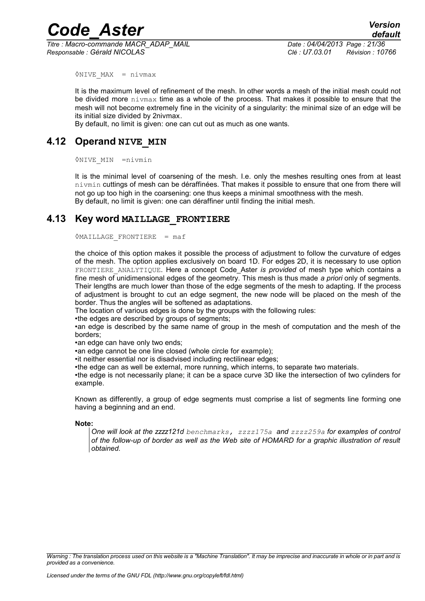*Code\_Aster Version Titre : Macro-commande MACR\_ADAP\_MAIL Date : 04/04/2013 Page : 21/36*

*Responsable : Gérald NICOLAS Clé : U7.03.01 Révision : 10766*

◊NIVE\_MAX = nivmax

It is the maximum level of refinement of the mesh. In other words a mesh of the initial mesh could not be divided more nivmax time as a whole of the process. That makes it possible to ensure that the mesh will not become extremely fine in the vicinity of a singularity: the minimal size of an edge will be its initial size divided by 2nivmax.

<span id="page-20-1"></span>By default, no limit is given: one can cut out as much as one wants.

# **4.12 Operand NIVE\_MIN**

◊NIVE\_MIN =nivmin

It is the minimal level of coarsening of the mesh. I.e. only the meshes resulting ones from at least nivmin cuttings of mesh can be déraffinées. That makes it possible to ensure that one from there will not go up too high in the coarsening: one thus keeps a minimal smoothness with the mesh. By default, no limit is given: one can déraffiner until finding the initial mesh.

# **4.13 Key word MAILLAGE\_FRONTIERE**

<span id="page-20-0"></span> $\Diamond$ MAILLAGE FRONTIERE = maf

the choice of this option makes it possible the process of adjustment to follow the curvature of edges of the mesh. The option applies exclusively on board 1D. For edges 2D, it is necessary to use option FRONTIERE\_ANALYTIQUE. Here a concept Code\_Aster *is provided* of mesh type which contains a fine mesh of unidimensional edges of the geometry. This mesh is thus made *a priori* only of segments. Their lengths are much lower than those of the edge segments of the mesh to adapting. If the process of adjustment is brought to cut an edge segment, the new node will be placed on the mesh of the border. Thus the angles will be softened as adaptations.

The location of various edges is done by the groups with the following rules:

•the edges are described by groups of segments;

•an edge is described by the same name of group in the mesh of computation and the mesh of the borders;

•an edge can have only two ends;

•an edge cannot be one line closed (whole circle for example):

•it neither essential nor is disadvised including rectilinear edges;

•the edge can as well be external, more running, which interns, to separate two materials.

•the edge is not necessarily plane; it can be a space curve 3D like the intersection of two cylinders for example.

Known as differently, a group of edge segments must comprise a list of segments line forming one having a beginning and an end.

#### **Note:**

*One will look at the zzzz121d benchmarks, zzzz175a and zzzz259a for examples of control of the follow-up of border as well as the Web site of HOMARD for a graphic illustration of result obtained.*

*Warning : The translation process used on this website is a "Machine Translation". It may be imprecise and inaccurate in whole or in part and is provided as a convenience.*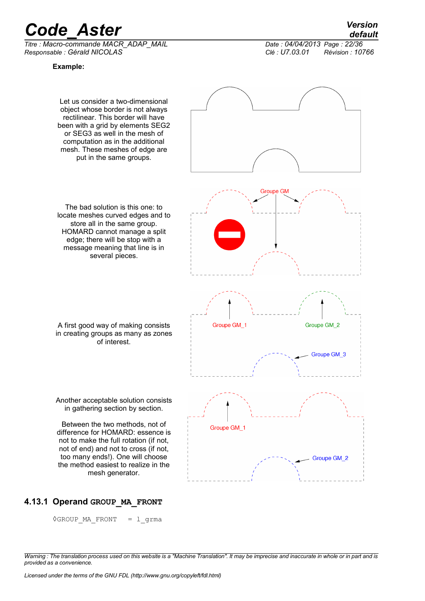*Titre : Macro-commande MACR\_ADAP\_MAIL Date : 04/04/2013 Page : 22/36 Responsable : Gérald NICOLAS Clé : U7.03.01 Révision : 10766*

**Example:**



# **4.13.1 Operand GROUP\_MA\_FRONT**

<span id="page-21-0"></span>◊GROUP\_MA\_FRONT = l\_grma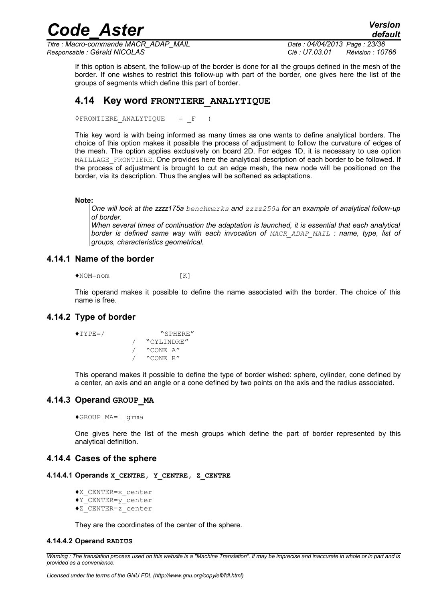*Titre : Macro-commande MACR\_ADAP\_MAIL Date : 04/04/2013 Page : 23/36 Responsable : Gérald NICOLAS Clé : U7.03.01 Révision : 10766*

*default*

If this option is absent, the follow-up of the border is done for all the groups defined in the mesh of the border. If one wishes to restrict this follow-up with part of the border, one gives here the list of the groups of segments which define this part of border.

*Code\_Aster Version*

# <span id="page-22-4"></span>**4.14 Key word FRONTIERE\_ANALYTIQUE**

◊FRONTIERE\_ANALYTIQUE = \_F (

This key word is with being informed as many times as one wants to define analytical borders. The choice of this option makes it possible the process of adjustment to follow the curvature of edges of the mesh. The option applies exclusively on board 2D. For edges 1D, it is necessary to use option MAILLAGE FRONTIERE. One provides here the analytical description of each border to be followed. If the process of adjustment is brought to cut an edge mesh, the new node will be positioned on the border, via its description. Thus the angles will be softened as adaptations.

**Note:**

*One will look at the zzzz175a benchmarks and zzzz259a for an example of analytical follow-up of border.*

*When several times of continuation the adaptation is launched, it is essential that each analytical border is defined same way with each invocation of MACR\_ADAP\_MAIL : name, type, list of groups, characteristics geometrical.*

#### **4.14.1 Name of the border**

<span id="page-22-3"></span>♦NOM=nom [K]

This operand makes it possible to define the name associated with the border. The choice of this name is free.

## **4.14.2 Type of border**

<span id="page-22-2"></span>

♦TYPE=/ "SPHERE" / "CYLINDRE" / "CONE\_A" / "CONE\_R"

This operand makes it possible to define the type of border wished: sphere, cylinder, cone defined by a center, an axis and an angle or a cone defined by two points on the axis and the radius associated.

### **4.14.3 Operand GROUP\_MA**

<span id="page-22-1"></span>♦GROUP\_MA=l\_grma

<span id="page-22-0"></span>One gives here the list of the mesh groups which define the part of border represented by this analytical definition.

### **4.14.4 Cases of the sphere**

- **4.14.4.1 Operands X\_CENTRE, Y\_CENTRE, Z\_CENTRE**
	- ♦X\_CENTER=x\_center
	- ♦Y\_CENTER=y\_center
	- ♦Z\_CENTER=z\_center

They are the coordinates of the center of the sphere.

# **4.14.4.2 Operand RADIUS**

*Warning : The translation process used on this website is a "Machine Translation". It may be imprecise and inaccurate in whole or in part and is provided as a convenience.*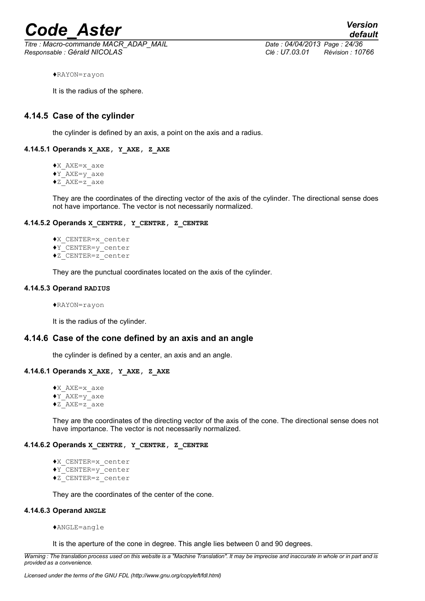*Titre : Macro-commande MACR\_ADAP\_MAIL Date : 04/04/2013 Page : 24/36 Responsable : Gérald NICOLAS Clé : U7.03.01 Révision : 10766*

*default*

♦RAYON=rayon

It is the radius of the sphere.

# **4.14.5 Case of the cylinder**

<span id="page-23-0"></span>the cylinder is defined by an axis, a point on the axis and a radius.

### **4.14.5.1 Operands X\_AXE, Y\_AXE, Z\_AXE**

♦X\_AXE=x\_axe ♦Y\_AXE=y\_axe

♦Z\_AXE=z\_axe

They are the coordinates of the directing vector of the axis of the cylinder. The directional sense does not have importance. The vector is not necessarily normalized.

#### **4.14.5.2 Operands X\_CENTRE, Y\_CENTRE, Z\_CENTRE**

♦X\_CENTER=x\_center ♦Y\_CENTER=y\_center ♦Z\_CENTER=z\_center

They are the punctual coordinates located on the axis of the cylinder.

#### **4.14.5.3 Operand RADIUS**

♦RAYON=rayon

It is the radius of the cylinder.

### **4.14.6 Case of the cone defined by an axis and an angle**

the cylinder is defined by a center, an axis and an angle.

#### **4.14.6.1 Operands X\_AXE, Y\_AXE, Z\_AXE**

♦X\_AXE=x\_axe  $\sqrt{Y}$  AXE=y<sup>-</sup>axe ♦Z\_AXE=z\_axe

They are the coordinates of the directing vector of the axis of the cone. The directional sense does not have importance. The vector is not necessarily normalized.

#### **4.14.6.2 Operands X\_CENTRE, Y\_CENTRE, Z\_CENTRE**

```
♦X_CENTER=x_center
♦Y_CENTER=y_center
```
♦Z\_CENTER=z\_center

They are the coordinates of the center of the cone.

#### **4.14.6.3 Operand ANGLE**

♦ANGLE=angle

It is the aperture of the cone in degree. This angle lies between 0 and 90 degrees.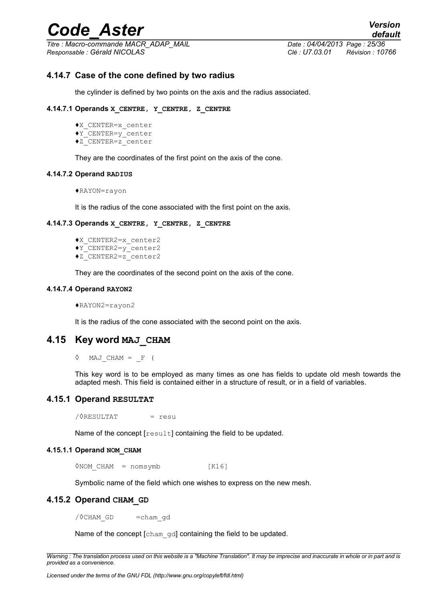*Titre : Macro-commande MACR\_ADAP\_MAIL Date : 04/04/2013 Page : 25/36 Responsable : Gérald NICOLAS Clé : U7.03.01 Révision : 10766*

*default*

# **4.14.7 Case of the cone defined by two radius**

the cylinder is defined by two points on the axis and the radius associated.

#### **4.14.7.1 Operands X\_CENTRE, Y\_CENTRE, Z\_CENTRE**

- ♦X\_CENTER=x\_center
- ♦Y\_CENTER=y\_center
- ♦Z\_CENTER=z\_center

They are the coordinates of the first point on the axis of the cone.

#### **4.14.7.2 Operand RADIUS**

♦RAYON=rayon

It is the radius of the cone associated with the first point on the axis.

### **4.14.7.3 Operands X\_CENTRE, Y\_CENTRE, Z\_CENTRE**

- ♦X\_CENTER2=x\_center2 ♦Y\_CENTER2=y\_center2
- $\bigstar$ <sup>-</sup>CENTER2=z<sup>-</sup>center2

They are the coordinates of the second point on the axis of the cone.

#### **4.14.7.4 Operand RAYON2**

♦RAYON2=rayon2

<span id="page-24-2"></span>It is the radius of the cone associated with the second point on the axis.

# **4.15 Key word MAJ\_CHAM**

 $\Diamond$  MAJ CHAM =  $\line{F}$  (

This key word is to be employed as many times as one has fields to update old mesh towards the adapted mesh. This field is contained either in a structure of result, or in a field of variables.

# **4.15.1 Operand RESULTAT**

<span id="page-24-1"></span>/◊RESULTAT = resu

Name of the concept [result] containing the field to be updated.

### **4.15.1.1 Operand NOM\_CHAM**

◊NOM\_CHAM = nomsymb [K16]

<span id="page-24-0"></span>Symbolic name of the field which one wishes to express on the new mesh.

# **4.15.2 Operand CHAM\_GD**

/ OCHAM\_GD =cham\_gd

Name of the concept [cham\_gd] containing the field to be updated.

*Warning : The translation process used on this website is a "Machine Translation". It may be imprecise and inaccurate in whole or in part and is provided as a convenience.*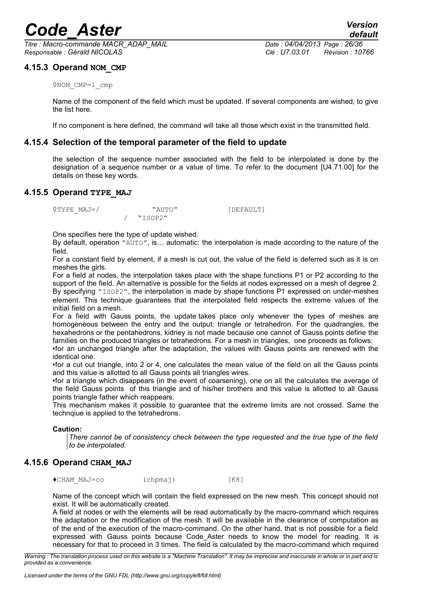*Titre : Macro-commande MACR\_ADAP\_MAIL Date : 04/04/2013 Page : 26/36 Responsable : Gérald NICOLAS Clé : U7.03.01 Révision : 10766*

# **4.15.3 Operand NOM\_CMP**

<span id="page-25-3"></span>◊NOM\_CMP=l\_cmp

Name of the component of the field which must be updated. If several components are wished, to give the list here.

<span id="page-25-2"></span>If no component is here defined, the command will take all those which exist in the transmitted field.

# **4.15.4 Selection of the temporal parameter of the field to update**

the selection of the sequence number associated with the field to be interpolated is done by the designation of a sequence number or a value of time. To refer to the document [U4.71.00] for the details on these key words.

# **4.15.5 Operand TYPE\_MAJ**

<span id="page-25-1"></span> $\sqrt{TYPE}$  MAJ=/ "AUTO" [DEFAULT] / "ISOP2"

One specifies here the type of update wished.

By default, operation "AUTO", is… automatic: the interpolation is made according to the nature of the field.

For a constant field by element, if a mesh is cut out, the value of the field is deferred such as it is on meshes the girls.

For a field at nodes, the interpolation takes place with the shape functions P1 or P2 according to the support of the field. An alternative is possible for the fields at nodes expressed on a mesh of degree 2. By specifying "ISOP2", the interpolation is made by shape functions P1 expressed on under-meshes element. This technique guarantees that the interpolated field respects the extreme values of the initial field on a mesh.

For a field with Gauss points, the update takes place only whenever the types of meshes are homogeneous between the entry and the output: triangle or tetrahedron. For the quadrangles, the hexahedrons or the pentahedrons, kidney is not made because one cannot of Gauss points define the families on the produced triangles or tetrahedrons. For a mesh in triangles, one proceeds as follows:

•for an unchanged triangle after the adaptation, the values with Gauss points are renewed with the identical one.

•for a cut out triangle, into 2 or 4, one calculates the mean value of the field on all the Gauss points and this value is allotted to all Gauss points all triangles wires.

•for a triangle which disappears (in the event of coarsening), one on all the calculates the average of the field Gauss points of this triangle and of his/her brothers and this value is allotted to all Gauss points triangle father which reappears.

This mechanism makes it possible to guarantee that the extreme limits are not crossed. Same the technqiue is applied to the tetrahedrons.

### **Caution:**

*There cannot be of consistency check between the type requested and the true type of the field to be interpolated.*

# **4.15.6 Operand CHAM\_MAJ**

<span id="page-25-0"></span>◆CHAM\_MAJ=co (chpmaj) [K8]

Name of the concept which will contain the field expressed on the new mesh. This concept should not exist. It will be automatically created.

A field at nodes or with the elements will be read automatically by the macro-command which requires the adaptation or the modification of the mesh. It will be available in the clearance of computation as of the end of the execution of the macro-command. On the other hand, that is not possible for a field expressed with Gauss points because Code Aster needs to know the model for reading. It is necessary for that to proceed in 3 times. The field is calculated by the macro-command which required

*Warning : The translation process used on this website is a "Machine Translation". It may be imprecise and inaccurate in whole or in part and is provided as a convenience.*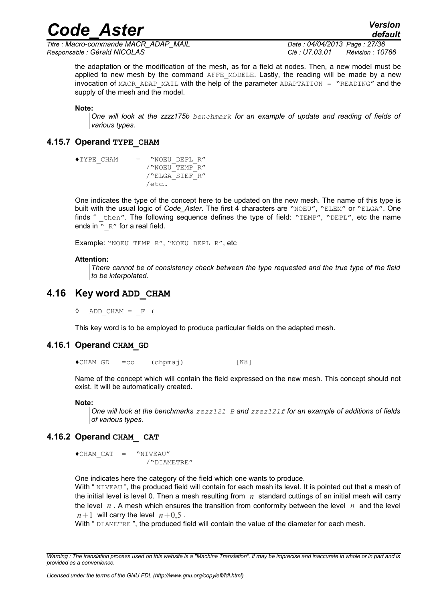*Titre : Macro-commande MACR\_ADAP\_MAIL Date : 04/04/2013 Page : 27/36 Responsable : Gérald NICOLAS Clé : U7.03.01 Révision : 10766*

*default*

the adaptation or the modification of the mesh, as for a field at nodes. Then, a new model must be applied to new mesh by the command AFFE MODELE. Lastly, the reading will be made by a new  $invocation$  of MACR ADAP MAIL with the help of the parameter ADAPTATION = "READING" and the supply of the mesh and the model.

*Code\_Aster Version*

**Note:**

*One will look at the zzzz175b benchmark for an example of update and reading of fields of various types.*

### **4.15.7 Operand TYPE\_CHAM**

<span id="page-26-3"></span>♦TYPE\_CHAM = "NOEU\_DEPL\_R" /"NOEU\_TEMP\_R" /"ELGA\_SIEF\_R" /etc…

One indicates the type of the concept here to be updated on the new mesh. The name of this type is built with the usual logic of *Code Aster*. The first 4 characters are "NOEU", "ELEM" or "ELGA". One finds " then". The following sequence defines the type of field: "TEMP", "DEPL", etc the name ends in " R" for a real field.

Example: "NOEU TEMP R", "NOEU DEPL R", etc

#### **Attention:**

*There cannot be of consistency check between the type requested and the true type of the field to be interpolated.*

# **4.16 Key word ADD\_CHAM**

<span id="page-26-2"></span> $\Diamond$  ADD CHAM =  $\line{F}$  (

<span id="page-26-1"></span>This key word is to be employed to produce particular fields on the adapted mesh.

#### **4.16.1 Operand CHAM\_GD**

 $\blacklozenge$ CHAM GD =co (chpmaj) [K8]

Name of the concept which will contain the field expressed on the new mesh. This concept should not exist. It will be automatically created.

#### **Note:**

*One will look at the benchmarks zzzz121 B and zzzz121f for an example of additions of fields of various types.* 

#### **4.16.2 Operand CHAM\_ CAT**

<span id="page-26-0"></span>♦CHAM\_CAT = "NIVEAU" /"DIAMETRE"

One indicates here the category of the field which one wants to produce.

With " NIVEAU", the produced field will contain for each mesh its level. It is pointed out that a mesh of the initial level is level 0. Then a mesh resulting from *n* standard cuttings of an initial mesh will carry the level *n* . A mesh which ensures the transition from conformity between the level *n* and the level  $n+1$  will carry the level  $n+0.5$ .

With " DIAMETRE ", the produced field will contain the value of the diameter for each mesh.

*Warning : The translation process used on this website is a "Machine Translation". It may be imprecise and inaccurate in whole or in part and is provided as a convenience.*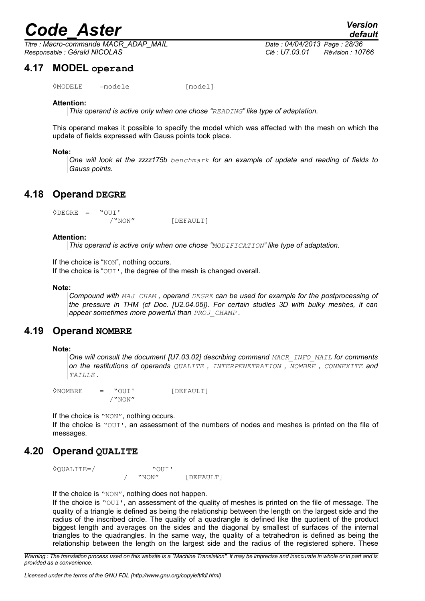*Titre : Macro-commande MACR\_ADAP\_MAIL Date : 04/04/2013 Page : 28/36 Responsable : Gérald NICOLAS Clé : U7.03.01 Révision : 10766*

# **4.17 MODEL operand**

<span id="page-27-3"></span>◊MODELE =modele [model]

### **Attention:**

*This operand is active only when one chose "READING" like type of adaptation.*

This operand makes it possible to specify the model which was affected with the mesh on which the update of fields expressed with Gauss points took place.

#### **Note:**

*One will look at the zzzz175b benchmark for an example of update and reading of fields to Gauss points.*

# **4.18 Operand DEGRE**

<span id="page-27-2"></span> $ØDEGRF = WOUT$ /"NON" [DEFAULT]

#### **Attention:**

*This operand is active only when one chose "MODIFICATION" like type of adaptation.*

If the choice is "NON", nothing occurs.

If the choice is "OUI', the degree of the mesh is changed overall.

#### **Note:**

*Compound with MAJ\_CHAM , operand DEGRE can be used for example for the postprocessing of the pressure in THM (cf Doc. [U2.04.05]). For certain studies 3D with bulky meshes, it can appear sometimes more powerful than PROJ\_CHAMP .*

# **4.19 Operand NOMBRE**

#### <span id="page-27-1"></span>**Note:**

*One will consult the document [U7.03.02] describing command MACR\_INFO\_MAIL for comments on the restitutions of operands QUALITE , INTERPENETRATION , NOMBRE , CONNEXITE and TAILLE .*

◊NOMBRE = "OUI' [DEFAULT] /"NON"

If the choice is "NON", nothing occurs.

If the choice is "OUI', an assessment of the numbers of nodes and meshes is printed on the file of messages.

# **4.20 Operand QUALITE**

<span id="page-27-0"></span>◊QUALITE=/ "OUI' / "NON" [DEFAULT]

If the choice is "NON", nothing does not happen.

If the choice is "OUI', an assessment of the quality of meshes is printed on the file of message. The quality of a triangle is defined as being the relationship between the length on the largest side and the radius of the inscribed circle. The quality of a quadrangle is defined like the quotient of the product biggest length and averages on the sides and the diagonal by smallest of surfaces of the internal triangles to the quadrangles. In the same way, the quality of a tetrahedron is defined as being the relationship between the length on the largest side and the radius of the registered sphere. These

*Warning : The translation process used on this website is a "Machine Translation". It may be imprecise and inaccurate in whole or in part and is provided as a convenience.*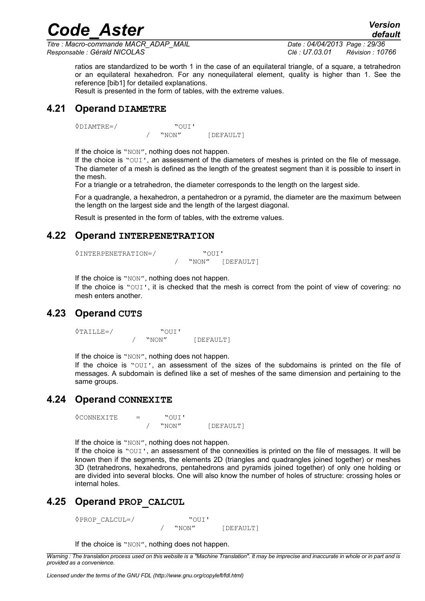*Titre : Macro-commande MACR\_ADAP\_MAIL Date : 04/04/2013 Page : 29/36 Responsable : Gérald NICOLAS Clé : U7.03.01 Révision : 10766*

*default*

ratios are standardized to be worth 1 in the case of an equilateral triangle, of a square, a tetrahedron or an equilateral hexahedron. For any nonequilateral element, quality is higher than 1. See the reference [bib1] for detailed explanations.

*Code\_Aster Version*

<span id="page-28-4"></span>Result is presented in the form of tables, with the extreme values.

# **4.21 Operand DIAMETRE**

◊DIAMTRE=/ "OUI'

"NON" [DEFAULT]

If the choice is "NON", nothing does not happen.

If the choice is "OUI', an assessment of the diameters of meshes is printed on the file of message. The diameter of a mesh is defined as the length of the greatest segment than it is possible to insert in the mesh.

For a triangle or a tetrahedron, the diameter corresponds to the length on the largest side.

For a quadrangle, a hexahedron, a pentahedron or a pyramid, the diameter are the maximum between the length on the largest side and the length of the largest diagonal.

<span id="page-28-3"></span>Result is presented in the form of tables, with the extreme values.

# **4.22 Operand INTERPENETRATION**

```
◊INTERPENETRATION=/ "OUI'
                     "NON" [DEFAULT]
```
If the choice is "NON", nothing does not happen.

If the choice is "OUI', it is checked that the mesh is correct from the point of view of covering: no mesh enters another.

# **4.23 Operand CUTS**

<span id="page-28-2"></span> $\sqrt{\text{YALLLE}} = /$  " $\sqrt{\text{WON}}$ " [DEFAULT]

If the choice is "NON", nothing does not happen.

If the choice is "OUI', an assessment of the sizes of the subdomains is printed on the file of messages. A subdomain is defined like a set of meshes of the same dimension and pertaining to the same groups.

# **4.24 Operand CONNEXITE**

<span id="page-28-1"></span> $\begin{array}{ccc} \Diamond \text{CONNEXITE} & = & \text{``OUI'} \\ & / & \text{``NON''} \end{array}$ / "NON" [DEFAULT]

If the choice is "NON", nothing does not happen.

If the choice is "OUI', an assessment of the connexities is printed on the file of messages. It will be known then if the segments, the elements 2D (triangles and quadrangles joined together) or meshes 3D (tetrahedrons, hexahedrons, pentahedrons and pyramids joined together) of only one holding or are divided into several blocks. One will also know the number of holes of structure: crossing holes or internal holes.

# **4.25 Operand PROP\_CALCUL**

<span id="page-28-0"></span>◊PROP\_CALCUL=/ "OUI'

"NON" [DEFAULT]

If the choice is "NON", nothing does not happen.

*Warning : The translation process used on this website is a "Machine Translation". It may be imprecise and inaccurate in whole or in part and is provided as a convenience.*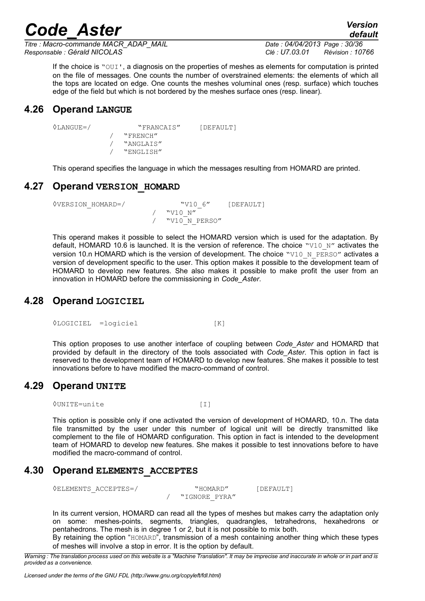*Titre : Macro-commande MACR\_ADAP\_MAIL Date : 04/04/2013 Page : 30/36 Responsable : Gérald NICOLAS Clé : U7.03.01 Révision : 10766*

*default*

If the choice is "OUI', a diagnosis on the properties of meshes as elements for computation is printed on the file of messages. One counts the number of overstrained elements: the elements of which all the tops are located on edge. One counts the meshes voluminal ones (resp. surface) which touches edge of the field but which is not bordered by the meshes surface ones (resp. linear).

# **4.26 Operand LANGUE**

```
◊LANGUE=/ "FRANCAIS" [DEFAULT]
           / "FRENCH"
           / "ANGLAIS"
              / "ENGLISH"
```
<span id="page-29-3"></span>This operand specifies the language in which the messages resulting from HOMARD are printed.

# **4.27 Operand VERSION\_HOMARD**

```
<sup>0</sup>VERSION HOMARD=/ "V10_6" [DEFAULT]
                          / "V10_N"
                       / "V10_N_PERSO"
```
This operand makes it possible to select the HOMARD version which is used for the adaptation. By default, HOMARD 10.6 is launched. It is the version of reference. The choice "V10\_N" activates the version 10.n HOMARD which is the version of development. The choice "V10 N PERSO" activates a version of development specific to the user. This option makes it possible to the development team of HOMARD to develop new features. She also makes it possible to make profit the user from an innovation in HOMARD before the commissioning in *Code\_Aster*.

# **4.28 Operand LOGICIEL**

<span id="page-29-2"></span>◊LOGICIEL =logiciel [K]

This option proposes to use another interface of coupling between *Code\_Aster* and HOMARD that provided by default in the directory of the tools associated with *Code\_Aster*. This option in fact is reserved to the development team of HOMARD to develop new features. She makes it possible to test innovations before to have modified the macro-command of control.

# **4.29 Operand UNITE**

<span id="page-29-1"></span>◊UNITE=unite [I]

This option is possible only if one activated the version of development of HOMARD, 10.n. The data file transmitted by the user under this number of logical unit will be directly transmitted like complement to the file of HOMARD configuration. This option in fact is intended to the development team of HOMARD to develop new features. She makes it possible to test innovations before to have modified the macro-command of control.

# **4.30 Operand ELEMENTS\_ACCEPTES**

<span id="page-29-0"></span>◊ELEMENTS\_ACCEPTES=/ "HOMARD" [DEFAULT]

/ "IGNORE\_PYRA"

In its current version, HOMARD can read all the types of meshes but makes carry the adaptation only on some: meshes-points, segments, triangles, quadrangles, tetrahedrons, hexahedrons or pentahedrons. The mesh is in degree 1 or 2, but it is not possible to mix both.

By retaining the option "HOMARD", transmission of a mesh containing another thing which these types of meshes will involve a stop in error. It is the option by default.

*Warning : The translation process used on this website is a "Machine Translation". It may be imprecise and inaccurate in whole or in part and is provided as a convenience.*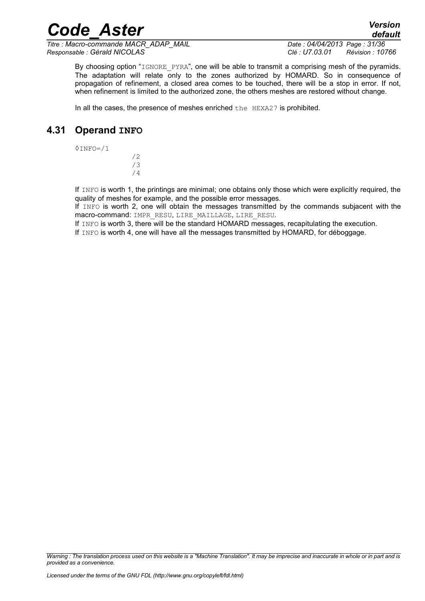*Titre : Macro-commande MACR\_ADAP\_MAIL Date : 04/04/2013 Page : 31/36 Responsable : Gérald NICOLAS Clé : U7.03.01 Révision : 10766*

*default*

By choosing option "IGNORE PYRA", one will be able to transmit a comprising mesh of the pyramids.

The adaptation will relate only to the zones authorized by HOMARD. So in consequence of propagation of refinement, a closed area comes to be touched, there will be a stop in error. If not, when refinement is limited to the authorized zone, the others meshes are restored without change.

*Code\_Aster Version*

<span id="page-30-0"></span>In all the cases, the presence of meshes enriched the HEXA27 is prohibited.

# **4.31 Operand INFO**

 $0$ INFO= $/1$ 

/2 /3 /4

If INFO is worth 1, the printings are minimal; one obtains only those which were explicitly required, the quality of meshes for example, and the possible error messages.

If INFO is worth 2, one will obtain the messages transmitted by the commands subjacent with the macro-command: IMPR\_RESU, LIRE\_MAILLAGE, LIRE\_RESU.

If INFO is worth 3, there will be the standard HOMARD messages, recapitulating the execution.

If INFO is worth 4, one will have all the messages transmitted by HOMARD, for déboggage.

*Warning : The translation process used on this website is a "Machine Translation". It may be imprecise and inaccurate in whole or in part and is provided as a convenience.*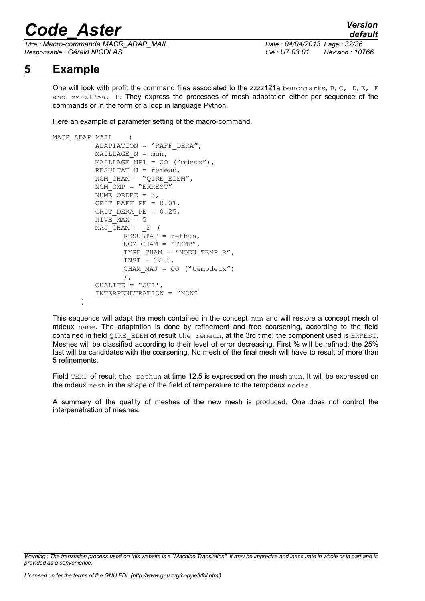*Titre : Macro-commande MACR\_ADAP\_MAIL Date : 04/04/2013 Page : 32/36 Responsable : Gérald NICOLAS Clé : U7.03.01 Révision : 10766*

# **5 Example**

<span id="page-31-0"></span>One will look with profit the command files associated to the zzzz121a benchmarks, B, C, D, E, F and zzzz175a, B. They express the processes of mesh adaptation either per sequence of the commands or in the form of a loop in language Python.

Here an example of parameter setting of the macro-command.

```
MACR_ADAP_MAIL (
          ADAPTATION = "RAFF DERA".MAILLAGE N = \text{mun},
          MAILLAGE NPI = CO ("mdeux"),
          RESULTAT N = remeun,
          NOM CHAM = "QIRE ELEMENT,
          NOM_CMP = "ERREST"
          NUME ORDRE = 3,
          Crit<sup>-</sup>RAFF PE = 0.01,Crit DERA PE = 0.25,
          NIVEMAX = 5MAJ CHAM= F (
                 RESULTAT = rethun, 
                 NOM CHAM = "TEMP",
                 TYPE CHAM = "NOEU TEMP R'',
                 INST = 12.5,
                 CHAM MAJ = CO ("tempdeux")
                 ), 
          QUALITE = "OUI', 
          INTERPENETRATION = "NON"
       )
```
This sequence will adapt the mesh contained in the concept mun and will restore a concept mesh of mdeux name. The adaptation is done by refinement and free coarsening, according to the field contained in field QIRE\_ELEM of result the remeun, at the 3rd time; the component used is ERREST. Meshes will be classified according to their level of error decreasing. First % will be refined; the 25% last will be candidates with the coarsening. No mesh of the final mesh will have to result of more than 5 refinements.

Field TEMP of result the rethun at time 12,5 is expressed on the mesh mun. It will be expressed on the mdeux mesh in the shape of the field of temperature to the tempdeux nodes.

A summary of the quality of meshes of the new mesh is produced. One does not control the interpenetration of meshes.

*Warning : The translation process used on this website is a "Machine Translation". It may be imprecise and inaccurate in whole or in part and is provided as a convenience.*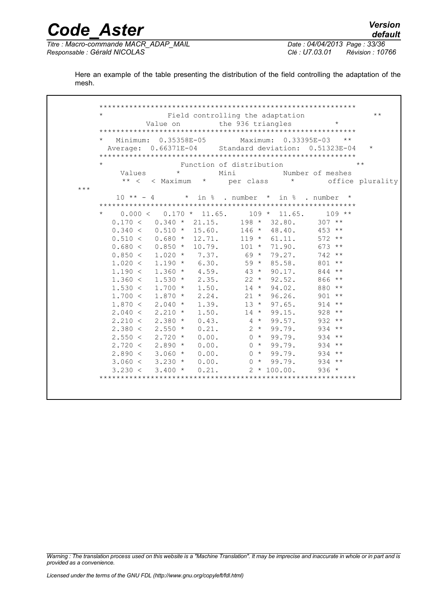*Code\_Aster Version Titre : Macro-commande MACR\_ADAP\_MAIL Date : 04/04/2013 Page : 33/36 Responsable : Gérald NICOLAS Clé : U7.03.01 Révision : 10766*

*default*

Here an example of the table presenting the distribution of the field controlling the adaptation of the mesh.

 \*\*\*\*\*\*\*\*\*\*\*\*\*\*\*\*\*\*\*\*\*\*\*\*\*\*\*\*\*\*\*\*\*\*\*\*\*\*\*\*\*\*\*\*\*\*\*\*\*\*\*\*\*\*\*\*\*\*\*\* Field controlling the adaptation \*\* Value on the 936 triangles \*\*\*\*\*\*\*\*\*\*\*\*\*\*\*\*\*\*\*\*\*\*\*\*\*\*\*\*\*\*\*\*\*\*\*\*\*\*\*\*\*\*\*\*\*\*\*\*\*\*\*\*\*\*\*\*\*\*\*\* \* Minimum: 0.35358E-05 Maximum: 0.33395E-03 \*\* Average: 0.66371E-04 Standard deviation: 0.51323E-04 \* \*\*\*\*\*\*\*\*\*\*\*\*\*\*\*\*\*\*\*\*\*\*\*\*\*\*\*\*\*\*\*\*\*\*\*\*\*\*\*\*\*\*\*\*\*\*\*\*\*\*\*\*\*\*\*\*\*\*\*\* Function of distribution  $**$ Values \* Mini Number of meshes \*\* < < Maximum \* per class \* office plurality \*\*\*  $10*** - 4$  \* in % . number \* in % . number \* \*\*\*\*\*\*\*\*\*\*\*\*\*\*\*\*\*\*\*\*\*\*\*\*\*\*\*\*\*\*\*\*\*\*\*\*\*\*\*\*\*\*\*\*\*\*\*\*\*\*\*\*\*\*\*\*\*\*\*\*  $0.000 < 0.170 * 11.65.$  $0.170 < 0.340 * 21.15.$  198 \* 32.80. 307 \*\*  $0.340 <$   $0.510 <$   $10.510 <$   $146 <$   $48.40.$   $453 <$  \*<br> $0.510 <$   $0.680 <$   $12.71.$   $119 <$   $61.11.$   $572 <$  \*  $0.510 < 0.680 < 12.71.$   $119 < 61.11.$   $572 < 12.71.$   $10.680 < 0.850 < 10.79.$   $101 < 71.90.$  673 \*\*  $0.680 < 0.850 < 10.79.$   $101 <sup>*</sup>$  71.90. 673 \*\*<br> $0.850 < 1.020 <sup>*</sup>$  7.37. 69 \* 79.27. 742 \*\*  $0.850 <$   $1.020 <$   $7.37.$   $69 <$   $79.27.$   $742 <sup>**</sup>$ <br> $1.020 <$   $1.190 <$   $6.30.$   $59 <$   $85.58.$   $801 <sup>**</sup>$  $1.020 < 1.190 < 6.30.$  59 \* 85.58. 801 \*\*<br> $1.190 < 1.360 < 4.59.$  43 \* 90.17. 844 \*\*  $1.190 <$   $1.360 <$   $4.59.$   $43 <$  90.17. 844 \*\*<br> $1.360 <$  1.530 \* 2.35. 22 \* 92.52. 866 \*\*  $\begin{array}{cccccccc} 1.360 < & & 1.530 &\star & & 2.35 \text{.} & & & 22 &\star & 92.52 \text{.} & & & 866 &\star\star \\ 1.530 < & & 1.700 &\star & & 1.50 \text{.} & & & 14 &\star & 94.02 \text{.} & & & 880 &\star\star \end{array}$  $1.530 < 1.700 < 1.50.$   $14 \times 94.02.$  880 \*\*<br> $1.700 < 1.870 < 2.24.$   $21 \times 96.26.$  901 \*\*  $1.700 < 1.870 \times 2.24.$   $21 \times 96.26.$  $\begin{array}{cccccccccccc} 1.870 < & & 2.040 &\star & & 1.39. & & & 13 &\star & 97.65. & & & 914 &\star\star \cr 2.040 < & & 2.210 &\star & & 1.50. & & & 14 &\star & 99.15. & & & 928 &\star\star \cr \end{array}$  $\begin{array}{cccccc} 2.040 \: < & 2.210 \: * & 1.50. & 14 \: * & 99.15. & 928 \: * \times \cr & 2.210 \: < & 2.380 \: * & 0.43. & 4 \: * & 99.57. & 932 \: * \times \cr & 2.380 \: < & 2.550 \: * & 0.21. & 2 \: * & 99.79. & 934 \: * \times \cr & 2.550 \: < & 2.720 \: * & 0.00. & 0 \: * & 99.79. & 934 \: * \end{array$  $2.210 < 2.380 < 0.43.$   $4 \times 99.57.$   $932 \times 2.380 < 2.550 < 0.21.$   $2 \times 99.79.$   $934 \times 2.380 < 2.550 < 0.21.$  $2.550 * 0.21.$   $2 * 99.79.$   $934 **$ <br> $2.720 * 0.00.$   $0 * 99.79.$   $934 **$  $2.550 < 2.720 < 0.00.$ <br>  $2.720 < 2.890 < 0.00.$ <br>  $0 < 99.79.$ <br>  $934 <sup>**</sup>   
 934 <sup>**</sup>$  $2.720 < 2.890 < 0.00.$   $0 < 99.79.$  934 \*\*<br> $2.890 < 3.060 < 0.00.$   $0 < 99.79.$  934 \*\*  $2.890 < 3.060 < 0.00.$ <br>  $3.060 < 3.230 < 0.00.$ <br>  $0 < 99.79.$ <br>  $934 <sup>**</sup>$  $3.060 < 3.230 \times 0.00.$  0 \* 99.79.  $3.230 < 3.400 < 0.21.$   $2 * 100.00.$  936 \* \*\*\*\*\*\*\*\*\*\*\*\*\*\*\*\*\*\*\*\*\*\*\*\*\*\*\*\*\*\*\*\*\*\*\*\*\*\*\*\*\*\*\*\*\*\*\*\*\*\*\*\*\*\*\*\*\*\*\*\*

*Warning : The translation process used on this website is a "Machine Translation". It may be imprecise and inaccurate in whole or in part and is provided as a convenience.*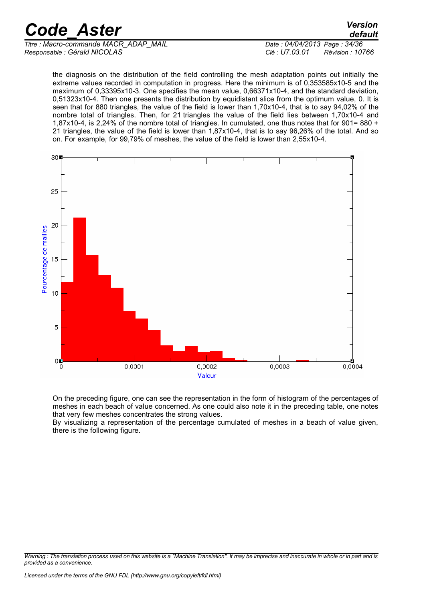*Titre : Macro-commande MACR\_ADAP\_MAIL Date : 04/04/2013 Page : 34/36 Responsable : Gérald NICOLAS Clé : U7.03.01 Révision : 10766*

*default*

the diagnosis on the distribution of the field controlling the mesh adaptation points out initially the extreme values recorded in computation in progress. Here the minimum is of 0,353585x10-5 and the maximum of 0,33395x10-3. One specifies the mean value, 0,66371x10-4, and the standard deviation, 0,51323x10-4. Then one presents the distribution by equidistant slice from the optimum value, 0. It is seen that for 880 triangles, the value of the field is lower than 1,70x10-4, that is to say 94,02% of the nombre total of triangles. Then, for 21 triangles the value of the field lies between 1,70x10-4 and 1,87x10-4, is 2,24% of the nombre total of triangles. In cumulated, one thus notes that for 901= 880 + 21 triangles, the value of the field is lower than 1,87x10-4, that is to say 96,26% of the total. And so on. For example, for 99,79% of meshes, the value of the field is lower than 2,55x10-4.



On the preceding figure, one can see the representation in the form of histogram of the percentages of meshes in each beach of value concerned. As one could also note it in the preceding table, one notes that very few meshes concentrates the strong values.

By visualizing a representation of the percentage cumulated of meshes in a beach of value given, there is the following figure.

*Warning : The translation process used on this website is a "Machine Translation". It may be imprecise and inaccurate in whole or in part and is provided as a convenience.*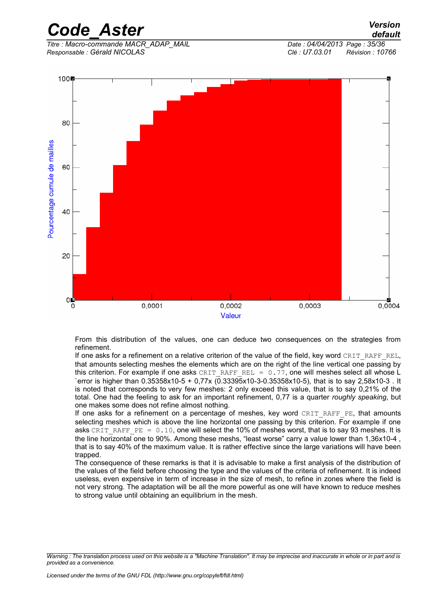*Code\_Aster Version default*

*Titre : Macro-commande MACR\_ADAP\_MAIL Date : 04/04/2013 Page : 35/36 Responsable : Gérald NICOLAS Clé : U7.03.01 Révision : 10766*



From this distribution of the values, one can deduce two consequences on the strategies from refinement.

If one asks for a refinement on a relative criterion of the value of the field, key word CRIT\_RAFF\_REL, that amounts selecting meshes the elements which are on the right of the line vertical one passing by this criterion. For example if one asks CRIT\_RAFF\_REL =  $0.77$ , one will meshes select all whose L `error is higher than 0.35358x10-5 + 0,77x (0.33395x10-3-0.35358x10-5), that is to say 2,58x10-3 . It is noted that corresponds to very few meshes: 2 only exceed this value, that is to say 0,21% of the total. One had the feeling to ask for an important refinement, 0,77 is a quarter *roughly speaking*, but one makes some does not refine almost nothing.

If one asks for a refinement on a percentage of meshes, key word CRIT\_RAFF\_PE, that amounts selecting meshes which is above the line horizontal one passing by this criterion. For example if one asks CRIT\_RAFF\_PE =  $0.10$ , one will select the 10% of meshes worst, that is to say 93 meshes. It is the line horizontal one to 90%. Among these meshs, "least worse" carry a value lower than 1,36x10-4 , that is to say 40% of the maximum value. It is rather effective since the large variations will have been trapped.

The consequence of these remarks is that it is advisable to make a first analysis of the distribution of the values of the field before choosing the type and the values of the criteria of refinement. It is indeed useless, even expensive in term of increase in the size of mesh, to refine in zones where the field is not very strong. The adaptation will be all the more powerful as one will have known to reduce meshes to strong value until obtaining an equilibrium in the mesh.

*Warning : The translation process used on this website is a "Machine Translation". It may be imprecise and inaccurate in whole or in part and is provided as a convenience.*